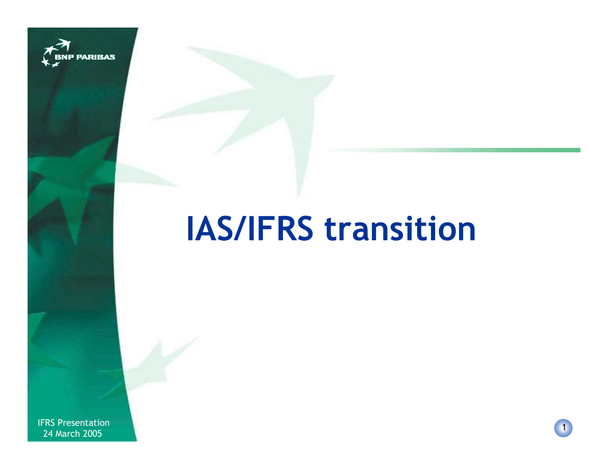

# **IAS/IFRS transition**

IFRS Presentation New York 1988 of the Second Second Second Second Second Second Second Second Second Second Second Second Second Second Second Second Second Second Second Second Second Second Second Second Second Second S 24 March 2005

1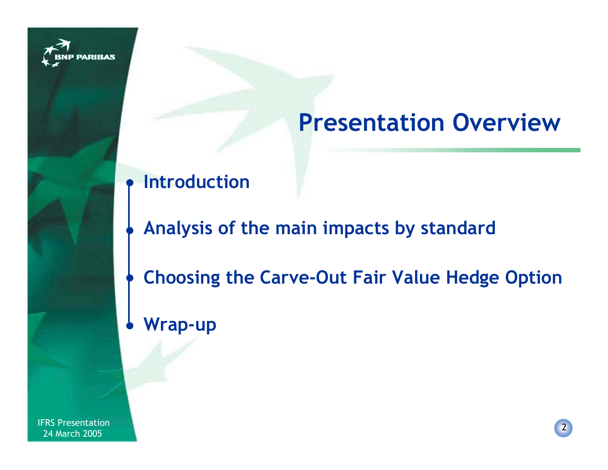

# **Presentation Overview**

#### $\bullet$ **Introduction**

- **Analysis of the main impacts by standard**
- **Choosing the Carve-Out Fair Value Hedge Option**  $\bullet$
- **Wrap-up**  $\bullet$

 $\bullet$ 

IFRS Presentation New York 1988 of the Second Second Second Second Second Second Second Second Second Second Second Second Second Second Second Second Second Second Second Second Second Second Second Second Second Second S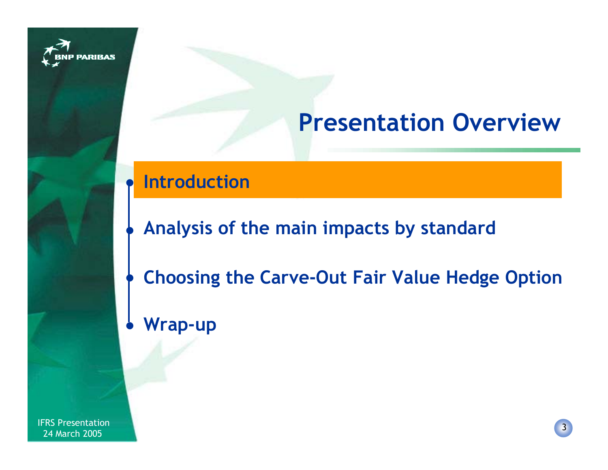

# **Presentation Overview**

#### $\bullet$ **Introduction**

- **Analysis of the main impacts by standard**
- **Choosing the Carve-Out Fair Value Hedge Option**  $\bullet$
- **Wrap-up**  $\bullet$

 $\bullet$ 

IFRS Presentation New York 1988 of the Second Second Second Second Second Second Second Second Second Second Second Second Second Second Second Second Second Second Second Second Second Second Second Second Second Second S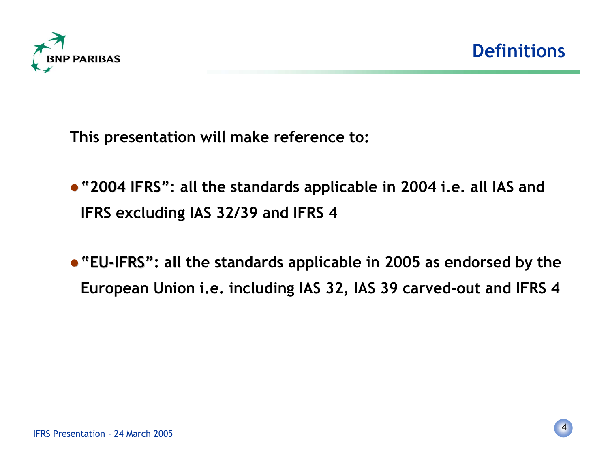

**This presentation will make reference to:**

- **"2004 IFRS": all the standards applicable in 2004 i.e. all IAS and "2004 IFRS" IFRS excluding IAS 32/39 and IFRS 4**
- **"EU-IFRS": all the standards applicable in 2005 as endorsed by the "EU-IFRS" European Union i.e. including IAS 32, IAS 39 carved-out and IFRS 4**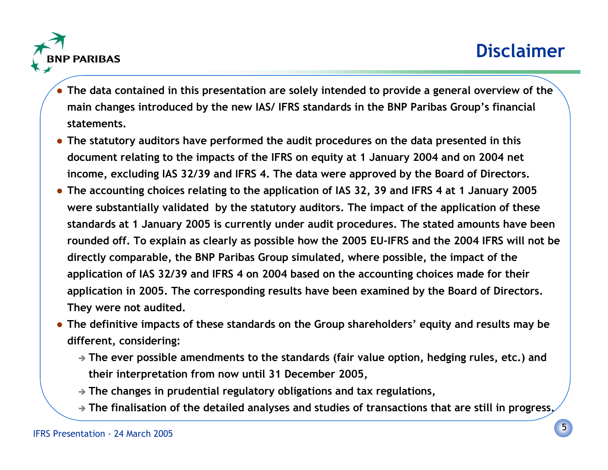

- **The data contained in this presentation are solely intended to provide a general overview of the main changes introduced by the new IAS/ IFRS standards in the BNP Paribas Group's financial statements.**
- **The statutory auditors have performed the audit procedures on the data presented in this document relating to the impacts of the IFRS on equity at 1 January 2004 and on 2004 net income, excluding IAS 32/39 and IFRS 4. The data were approved by the Board of Directors.**
- **The accounting choices relating to the application of IAS 32, 39 and IFRS 4 at 1 January 2005 were substantially validated by the statutory auditors. The impact of the application of these standards at 1 January 2005 is currently under audit procedures. The stated amounts have been rounded off. To explain as clearly as possible how the 2005 EU-IFRS and the 2004 IFRS will not be directly comparable, the BNP Paribas Group simulated, where possible, the impact of the application of IAS 32/39 and IFRS 4 on 2004 based on the accounting choices made for their application in 2005. The corresponding results have been examined by the Board of Directors. They were not audited.**
- **The definitive impacts of these standards on the Group shareholders' equity and results may be different, considering:**
	- **The ever possible amendments to the standards (fair value option, hedging rules, etc.) and their interpretation from now until 31 December 2005,**
	- **The changes in prudential regulatory obligations and tax regulations,**
	- **The finalisation of the detailed analyses and studies of transactions that are still in progress.**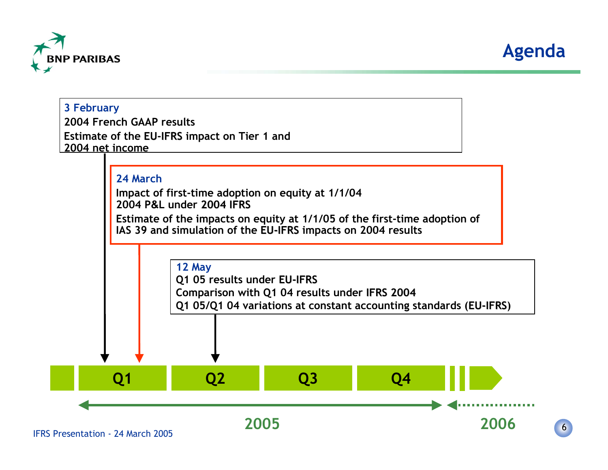

**3 February**



6

## **Q1 Q2 Q3 Q4 2005 20062004 French GAAP resultsEstimate of the EU-IFRS impact on Tier 1 and 2004 net income24 MarchImpact of first-time adoption on equity at 1/1/04 2004 P&L under 2004 IFRS 2004 IFRSEstimate of the impacts on equity at 1/1/05 of the first-time adoption of IAS 39 and simulation of the EU-IFRS impacts on 2004 results 12 May Q1 05 results under EU-IFRS EU-IFRS Comparison with Q1 04 results under IFRS 2004 Q1 05/Q1 04 variations at constant accounting standards (EU-IFRS) EU-IFRS**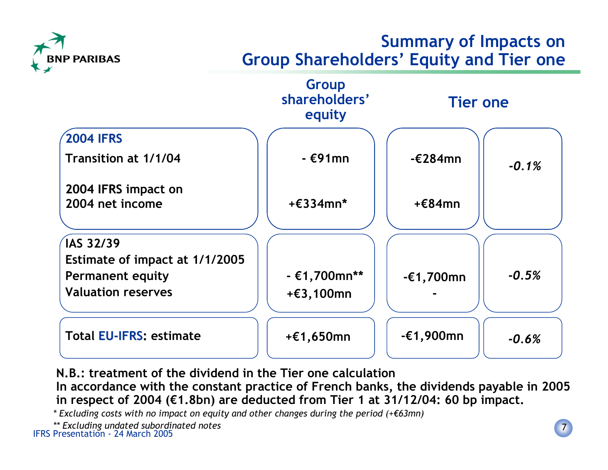

#### **Summary of Impacts on Group Shareholders' Equity and Tier one**



**N.B.: treatment of the dividend in the Tier one calculationIn accordance with the constant practice of French banks, the dividends payable in 2005 in respect of 2004 (€1.8bn) are deducted from Tier 1 at 31/12/04: 60 bp impact.**

*\* Excluding costs with no impact on equity and other changes during the period (+€63mn)*

 IFRS Presentation - 24 March 2005 *\*\* Excluding undated subordinated notes*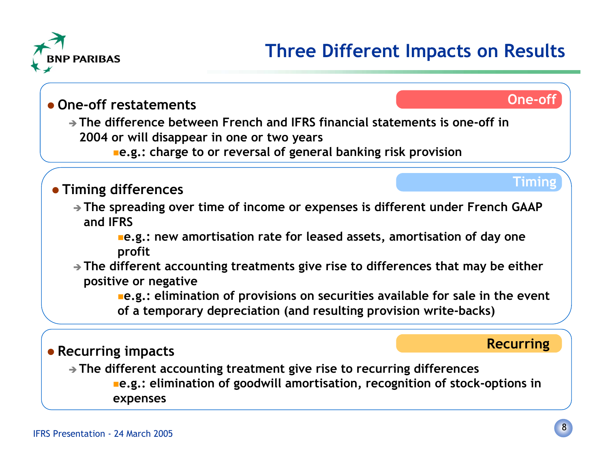



#### **One-off restatements**

- **The difference between French and IFRS financial statements is one-off in 2004 or will disappear in one or two years**

**e.g.: charge to or reversal of general banking risk provision**

#### **Timing differences**

- **The spreading over time of income or expenses is different under French GAAP and IFRS**

**e.g.: new amortisation rate for leased assets, amortisation of day one profit**

- **The different accounting treatments give rise to differences that may be either positive or negative**

**e.g.: elimination of provisions on securities available for sale in the event of a temporary depreciation (and resulting provision write-backs)**

#### **Recurring impacts**

#### **Recurring**

**Timing**

**One-off**

- **The different accounting treatment give rise to recurring differences e.g.: elimination of goodwill amortisation, recognition of stock-options in expenses**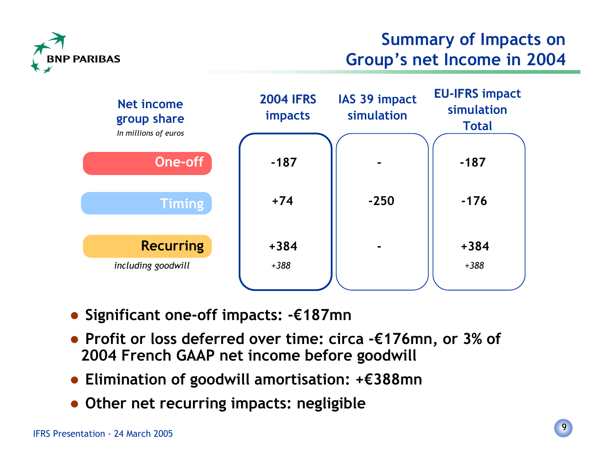

#### **Summary of Impacts on Group's net Income in 2004**



- **Significant one-off impacts: -€187mn**
- **Profit or loss deferred over time: circa -€176mn, or 3% of 2004 French GAAP net income before goodwill**
- **Elimination of goodwill amortisation: +€388mn**
- **Other net recurring impacts: negligible**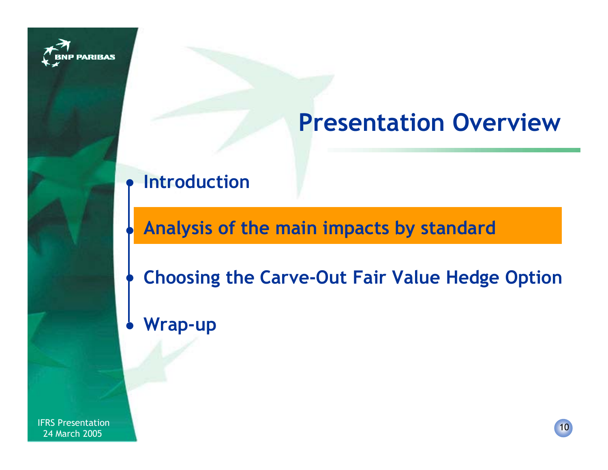

# **Presentation Overview**

#### $\bullet$ **Introduction**

## **Analysis of the main impacts by standard**

**Choosing the Carve-Out Fair Value Hedge Option**  $\bullet$ 

#### **Wrap-up**  $\bullet$

 $\bullet$ 

IFRS Presentation 2005<br>1994 March 2005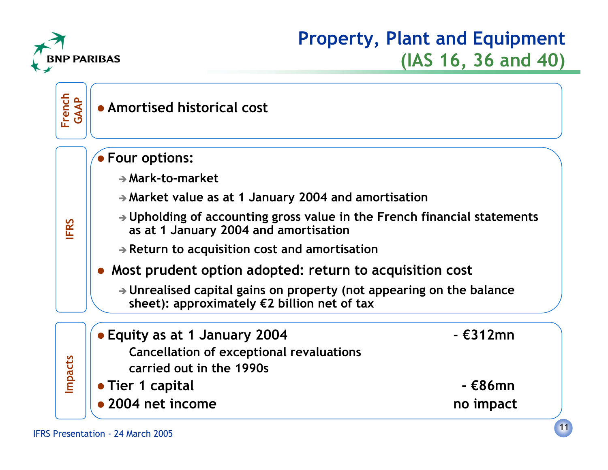

#### **Property, Plant and Equipment (IAS 16, 36 and 40)**

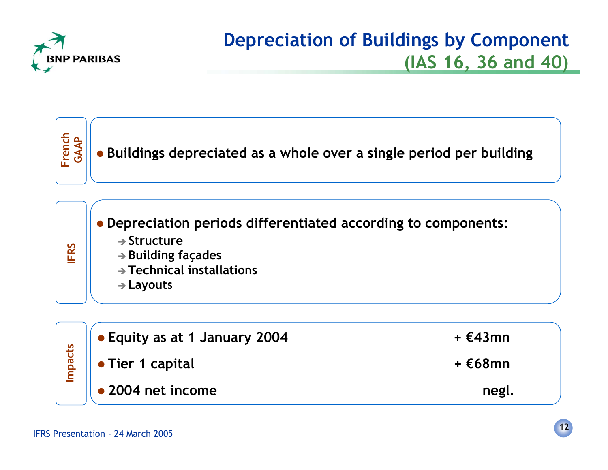

## **Depreciation of Buildings by Component (IAS 16, 36 and 40)**

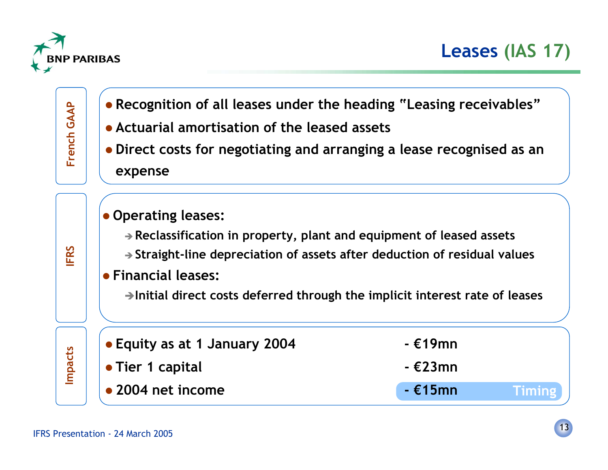

**Timing Equity as at 1 January 2004 - €19mn Tier 1 capital - €23mn 2004 net income - €15mn** Recognition of all leases under the heading "Leasing receivables"<br>
<br>
• Actuarial amortisation of the leased assets<br>
• Direct costs for negotiating and arranging a lease recognised as an<br>
expense<br>
• Operating leases:<br>
• Re **IFRS Operating leases:** - **Reclassification in property, plant and equipment of leased assets** - **Straight-line depreciation of assets after deduction of residual values Financial leases: Initial direct costs deferred through the implicit interest rate of leases**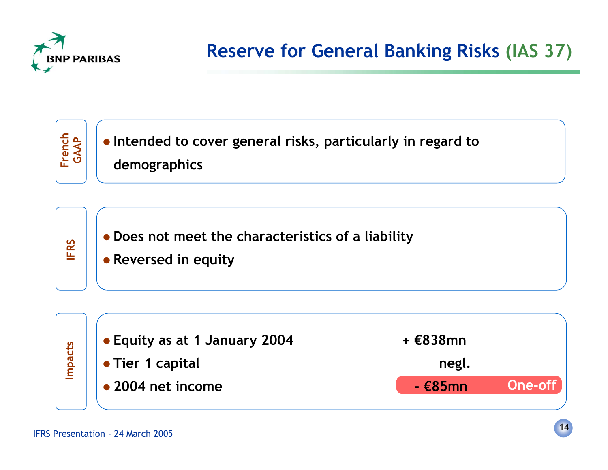

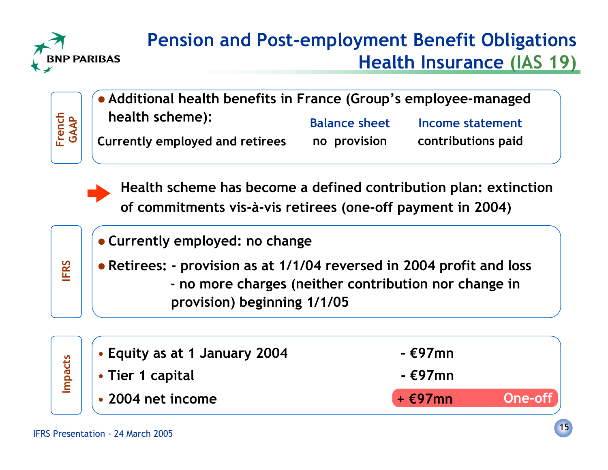

## **Pension and Post-employment Benefit Obligations Health Insurance (IAS 19)**



| • Additional health benefits in France (Group's employee-managed |                      |                    |
|------------------------------------------------------------------|----------------------|--------------------|
| health scheme):                                                  | <b>Balance sheet</b> | Income statement   |
| <b>Currently employed and retirees</b>                           | no provision         | contributions paid |



**Health scheme has become a defined contribution plan: extinction** of commitments vis-à-vis retirees (one-off payment in 2004)

|      | • Currently employed: no change                                                                      |                                                       |
|------|------------------------------------------------------------------------------------------------------|-------------------------------------------------------|
| FRS  | • Retirees: - provision as at 1/1/04 reversed in 2004 profit and loss<br>provision) beginning 1/1/05 | - no more charges (neither contribution nor change in |
| acts | • Equity as at 1 January 2004                                                                        | - €97mn                                               |
|      | Tirk 1 11.                                                                                           | $\sim$                                                |

**Impacts** • **Tier 1 capital - €97mn** • **2004 net income + €97mn**

**One-off**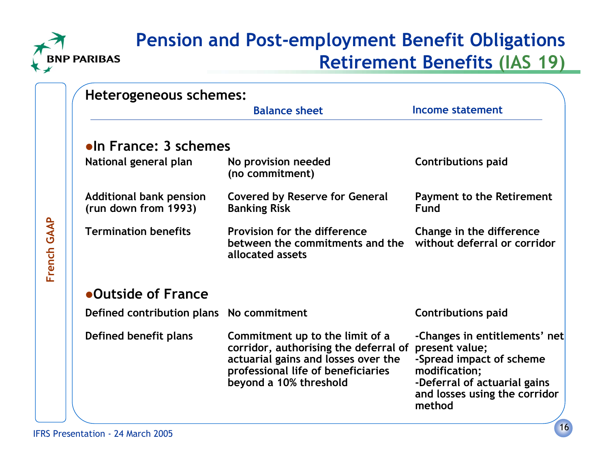

**French GAAP**

French GAAP

#### **Pension and Post-employment Benefit Obligations Retirement Benefits (IAS 19)**

| Heterogeneous schemes:                                 |                                                                                                                                                                                 |                                                                                                                                                                         |
|--------------------------------------------------------|---------------------------------------------------------------------------------------------------------------------------------------------------------------------------------|-------------------------------------------------------------------------------------------------------------------------------------------------------------------------|
|                                                        | <b>Balance sheet</b>                                                                                                                                                            | Income statement                                                                                                                                                        |
| <b>•In France: 3 schemes</b>                           |                                                                                                                                                                                 |                                                                                                                                                                         |
| National general plan                                  | No provision needed<br>(no commitment)                                                                                                                                          | <b>Contributions paid</b>                                                                                                                                               |
| <b>Additional bank pension</b><br>(run down from 1993) | <b>Covered by Reserve for General</b><br><b>Banking Risk</b>                                                                                                                    | <b>Payment to the Retirement</b><br>Fund                                                                                                                                |
| <b>Termination benefits</b>                            | Provision for the difference<br>between the commitments and the<br>allocated assets                                                                                             | Change in the difference<br>without deferral or corridor                                                                                                                |
| •Outside of France                                     |                                                                                                                                                                                 |                                                                                                                                                                         |
| Defined contribution plans No commitment               |                                                                                                                                                                                 | <b>Contributions paid</b>                                                                                                                                               |
| Defined benefit plans                                  | Commitment up to the limit of a<br>corridor, authorising the deferral of<br>actuarial gains and losses over the<br>professional life of beneficiaries<br>beyond a 10% threshold | -Changes in entitlements' net<br>present value;<br>-Spread impact of scheme<br>modification;<br>-Deferral of actuarial gains<br>and losses using the corridor<br>method |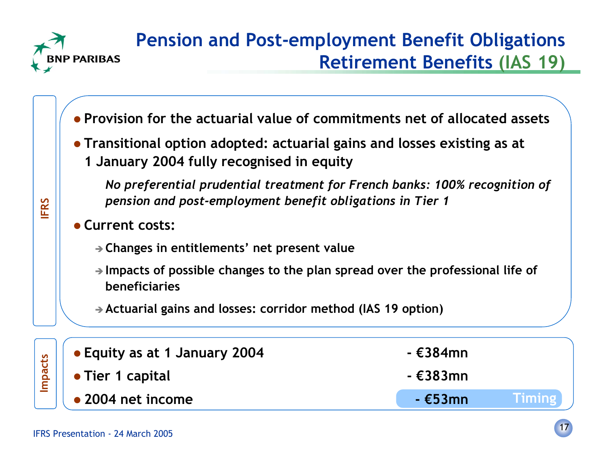

**IFRS**

## **Pension and Post-employment Benefit Obligations Retirement Benefits (IAS 19)**

- **Provision for the actuarial value of commitments net of allocated assets**
- **Transitional option adopted: actuarial gains and losses existing as at 1 January 2004 fully recognised in equity**

*No preferential prudential treatment for French banks: 100% recognition of pension and post-employment benefit obligations in Tier 1*

- **Current costs:**
	- **Changes in entitlements' net present value**
	- **Impacts of possible changes to the plan spread over the professional life of beneficiaries**
	- **Actuarial gains and losses: corridor method (IAS 19 option)**

| $\mathbb{E}$   e Equity as at 1 January 2004             | - €384mn  |               |
|----------------------------------------------------------|-----------|---------------|
| $\left \frac{\ddot{a}}{\dot{b}}\right $ • Tier 1 capital | - €383mn  |               |
| $\overline{\phantom{a}}$ 2004 net income                 | $ E53$ mn | <b>Timing</b> |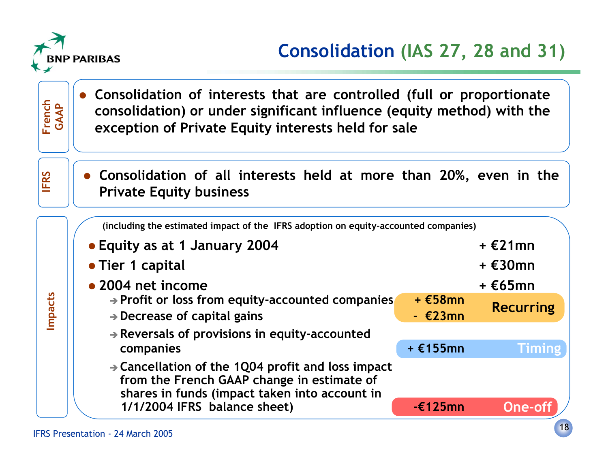

 $\bullet$ 

## **Consolidation (IAS 27, 28 and 31)**

**Impacts**

**French GAAP**

 **Consolidation of interests that are controlled (full or proportionate consolidation) or under significant influence (equity method) with the exception of Private Equity interests held for sale**

**IFRS Consolidation of all interests held at more than 20%, even in the <b>Private Equity business** 

**(including the estimated impact of the IFRS adoption on equity-accounted companies)**

| • Equity as at 1 January 2004                                                                                                                                |                       | $+$ $E21$ mn      |
|--------------------------------------------------------------------------------------------------------------------------------------------------------------|-----------------------|-------------------|
| • Tier 1 capital                                                                                                                                             |                       | + €30mn           |
| • 2004 net income                                                                                                                                            |                       | $+ \epsilon$ 65mn |
| $\rightarrow$ Profit or loss from equity-accounted companies<br>$\rightarrow$ Decrease of capital gains                                                      | $+$ €58mn<br>$ E23mn$ | <b>Recurring</b>  |
| Reversals of provisions in equity-accounted<br>companies                                                                                                     | + €155mn              | <b>Timing</b>     |
| $\rightarrow$ Cancellation of the 1Q04 profit and loss impact<br>from the French GAAP change in estimate of<br>shares in funds (impact taken into account in |                       |                   |
| 1/1/2004 IFRS balance sheet)                                                                                                                                 | $-\epsilon$ 125mn     | One-              |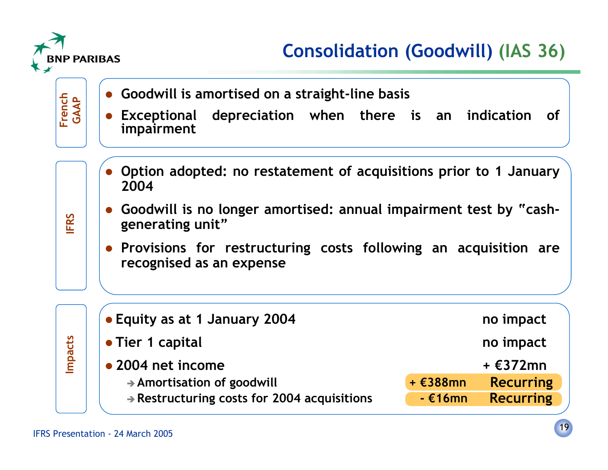

## **Consolidation (Goodwill) (IAS 36)**

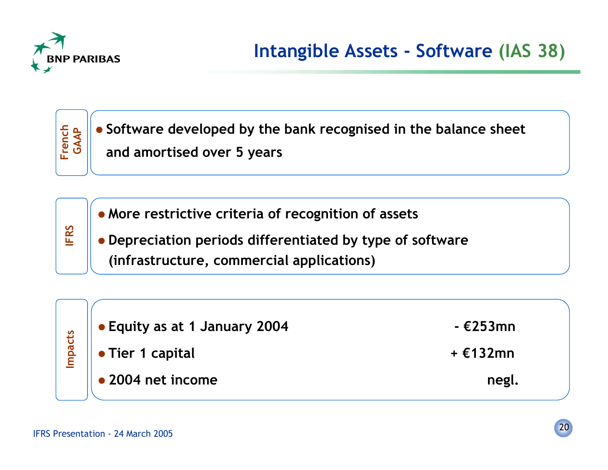

**IFRS**



**More restrictive criteria of recognition of assets**

 **Depreciation periods differentiated by type of software (infrastructure, commercial applications)**

|                   | <b>Equity as at 1 January 2004</b> | $ E253$ mn |
|-------------------|------------------------------------|------------|
| <b>pacts</b><br>Ē | • Tier 1 capital                   | + €132mn   |
|                   | • 2004 net income                  | negl.      |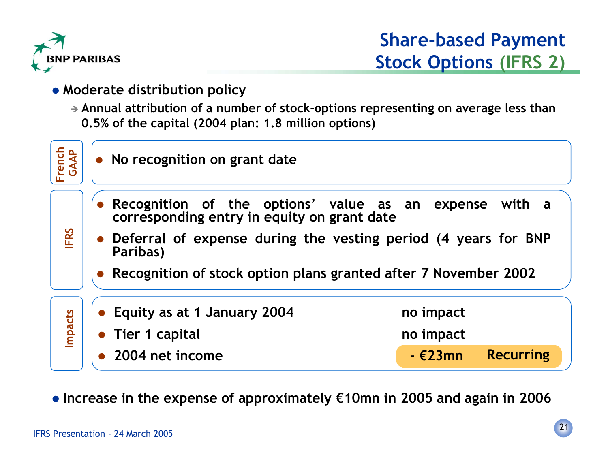

#### **Moderate distribution policy**

- **Annual attribution of a number of stock-options representing on average less than 0.5% of the capital (2004 plan: 1.8 million options)**



**Increase in the expense of approximately €10mn in 2005 and again in 2006**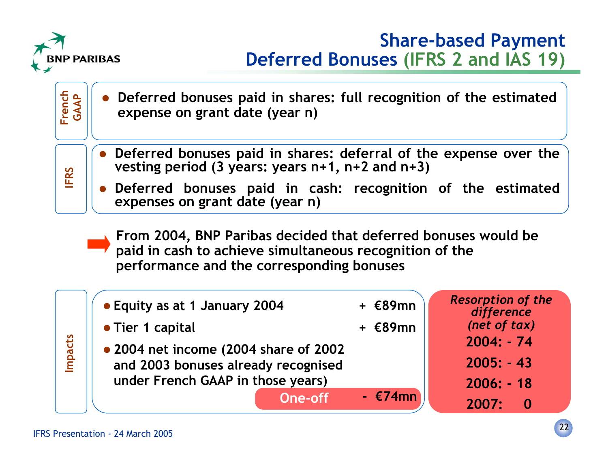

#### **Share-based Payment Deferred Bonuses (IFRS 2 and IAS 19)**



 **2004 net income (2004 share of 2002 and 2003 bonuses already recognised under French GAAP in those years) - €74mnOne-off**

| difference           |  |
|----------------------|--|
| (net of tax)         |  |
| 2004: - 74           |  |
| $2005: -43$          |  |
| $2006: -18$          |  |
| 2007: <b>20</b><br>Û |  |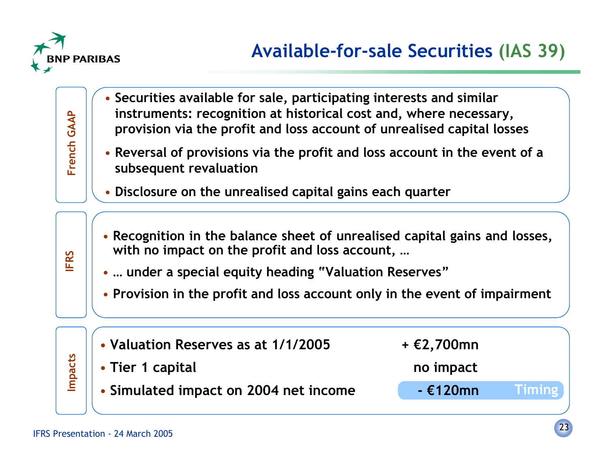

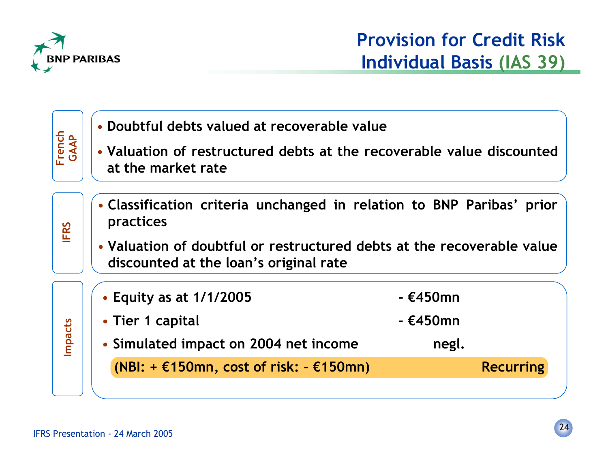

| French<br>GAAP | • Doubtful debts valued at recoverable value<br>• Valuation of restructured debts at the recoverable value discounted<br>at the market rate                                                            |                                                     |
|----------------|--------------------------------------------------------------------------------------------------------------------------------------------------------------------------------------------------------|-----------------------------------------------------|
| <b>IFRS</b>    | • Classification criteria unchanged in relation to BNP Paribas' prior<br>practices<br>• Valuation of doubtful or restructured debts at the recoverable value<br>discounted at the loan's original rate |                                                     |
| <b>Impacts</b> | • Equity as at 1/1/2005<br>• Tier 1 capital<br>• Simulated impact on 2004 net income<br>(NBI: $+ \epsilon$ 150mn, cost of risk: $- \epsilon$ 150mn)                                                    | $ E450$ mn<br>- €450mn<br>negl.<br><b>Recurring</b> |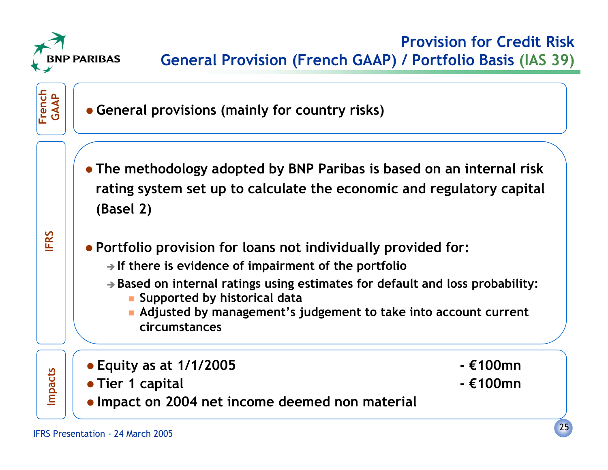



**• General provisions (mainly for country risks)** 

 **The methodology adopted by BNP Paribas is based on an internal risk rating system set up to calculate the economic and regulatory capital (Basel 2)**



**Portfolio provision for loans not individually provided for:**

- **If there is evidence of impairment of the portfolio**
- **Based on internal ratings using estimates for default and loss probability:**
	- **Supported by historical data**
	- **Adjusted by management's judgement to take into account current circumstances**
- 
- 
- 
- **Impacts Equity as at 1/1/2005 €100mn Tier 1 capital €100mn Impact on 2004 net income deemed non material**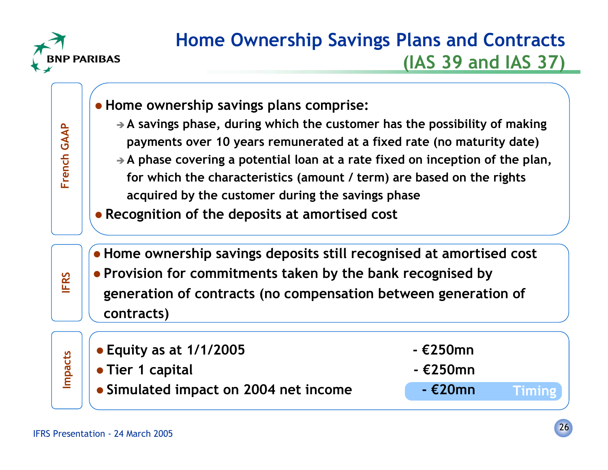

**French GAAP**

#### **Home Ownership Savings Plans and Contracts (IAS 39 and IAS 37)**

- **Home ownership savings plans comprise:** - **A savings phase, during which the customer has the possibility of making** French GAAP **payments over 10 years remunerated at a fixed rate (no maturity date)** - **A phase covering a potential loan at a rate fixed on inception of the plan, for which the characteristics (amount / term) are based on the rights acquired by the customer during the savings phase Recognition of the deposits at amortised cost Home ownership savings deposits still recognised at amortised cost IFRS**
	- **Provision for commitments taken by the bank recognised by generation of contracts (no compensation between generation of contracts)**

| $\frac{16}{16}$ $\bullet$ Equity as at 1/1/2005<br>$\bullet$ Tier 1 capital<br>$\bullet$ Simulated impact on 2004 net income | - €250mn<br>$ E250$ mn |               |
|------------------------------------------------------------------------------------------------------------------------------|------------------------|---------------|
|                                                                                                                              | - €20mn                | <b>Timing</b> |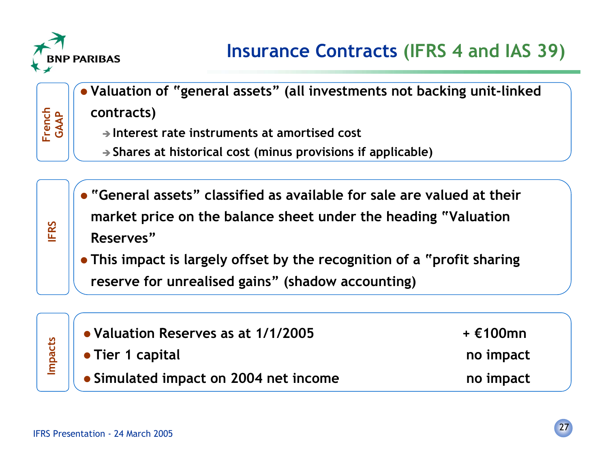

**Valuation of "general assets" (all investments not backing unit-linked**

**contracts)**

- **Interest rate instruments at amortised cost**
- **Shares at historical cost (minus provisions if applicable)**
- **"General assets" classified as available for sale are valued at their market price on the balance sheet under the heading "Valuation Reserves"**
- **This impact is largely offset by the recognition of a "profit sharing reserve for unrealised gains" (shadow accounting)**

| • Valuation Reserves as at 1/1/2005   | + €100mn  |
|---------------------------------------|-----------|
| $\parallel$ • Tier 1 capital          | no impact |
| • Simulated impact on 2004 net income | no impact |

**IFRS**

**French GAAP**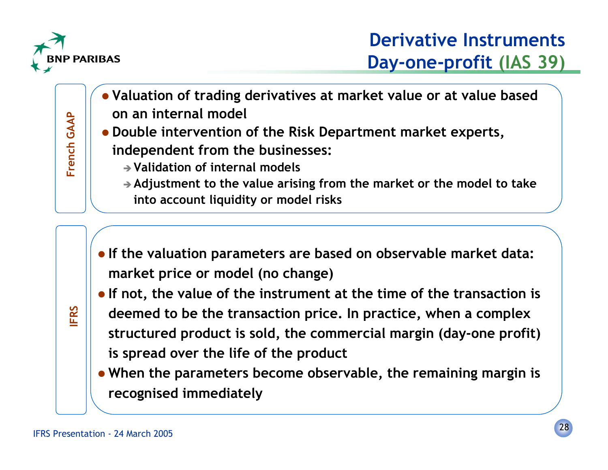

**French GAAP**

French GAAP

- **Valuation of trading derivatives at market value or at value based on an internal model**
- **Double intervention of the Risk Department market experts, independent from the businesses:**
	- **Validation of internal models**
	- **Adjustment to the value arising from the market or the model to take into account liquidity or model risks**
- **If the valuation parameters are based on observable market data: market price or model (no change)**
- **If not, the value of the instrument at the time of the transaction is**
- 

**IFRS**

- **deemed to be the transaction price. In practice, when a complex structured product is sold, the commercial margin (day-one profit) is spread over the life of the product**
- **When the parameters become observable, the remaining margin is recognised immediately**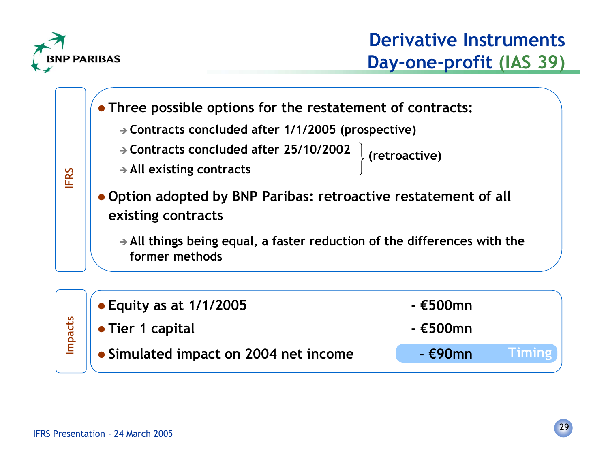



**Timing**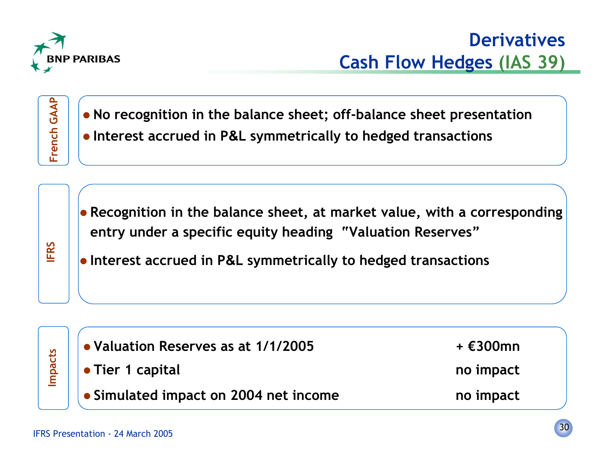

**Franch Canapape Sheet:** off-balance sheet presentation<br> **Interest accrued in P&L symmetrically to hedged transactions**<br> **Interest accrued in P&L symmetrically to hedged transactions** 

**IFRS**

 **Recognition in the balance sheet, at market value, with a corresponding entry under a specific equity heading "Valuation Reserves"**

**Interest accrued in P&L symmetrically to hedged transactions**



**Impacts Valuation Reserves as at 1/1/2005 + €300mn Tier 1 capital no impact**

- 
- **Simulated impact on 2004 net income no impact**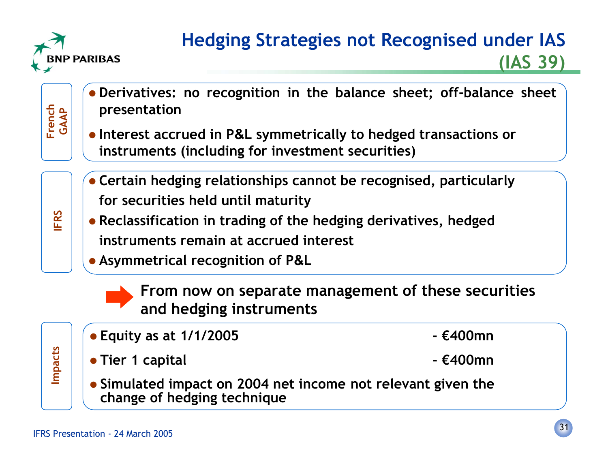

**French GAAP**

**IFRS**

## **Hedging Strategies not Recognised under IAS (IAS 39)**

- **Derivatives: no recognition in the balance sheet; off-balance sheet presentation**
- **Interest accrued in P&L symmetrically to hedged transactions or instruments (including for investment securities)**
- **Certain hedging relationships cannot be recognised, particularly for securities held until maturity**
- **Reclassification in trading of the hedging derivatives, hedged instruments remain at accrued interest**
- **Asymmetrical recognition of P&L**



- **From now on separate management of these securities and hedging instruments**
- 

**Impacts**

- **Equity as at 1/1/2005 €400mn**
- **Tier 1 capital €400mn**
- **Simulated impact on 2004 net income not relevant given the change of hedging technique**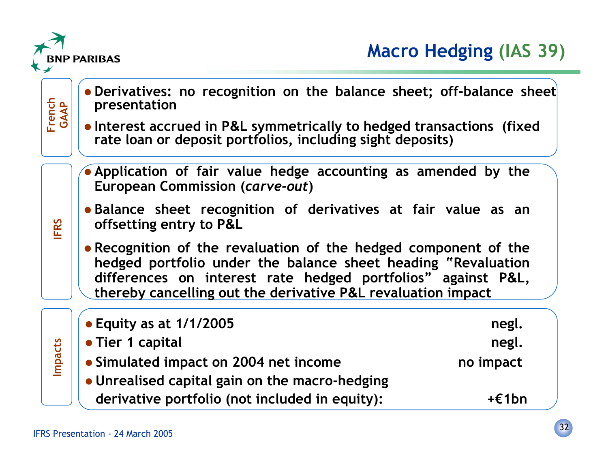

**French GAAP**

**IFRS**

**Impacts**

- **Derivatives: no recognition on the balance sheet; off-balance sheet presentation**
	- Interest accrued in P&L symmetrically to hedged transactions (fixed **Interest accrued in P&L symmetrically to hedged transactions (fixed rate loan or deposit portfolios, including sight deposits)**
	- **Application of fair value hedge accounting as amended by the European Commission (***carve-out***)**
	- **Balance sheet recognition of derivatives at fair value as an offsetting entry to P&L**
	- **Recognition of the revaluation of the hedged component of the hedged portfolio under the balance sheet heading "Revaluation differences on interest rate hedged portfolios" against P&L, thereby cancelling out the derivative P&L revaluation impact**

| $\bullet$ Equity as at 1/1/2005                | negl.           |
|------------------------------------------------|-----------------|
| • Tier 1 capital                               | negl.           |
| • Simulated impact on 2004 net income          | no impact       |
| • Unrealised capital gain on the macro-hedging |                 |
| derivative portfolio (not included in equity): | $+\epsilon$ 1bn |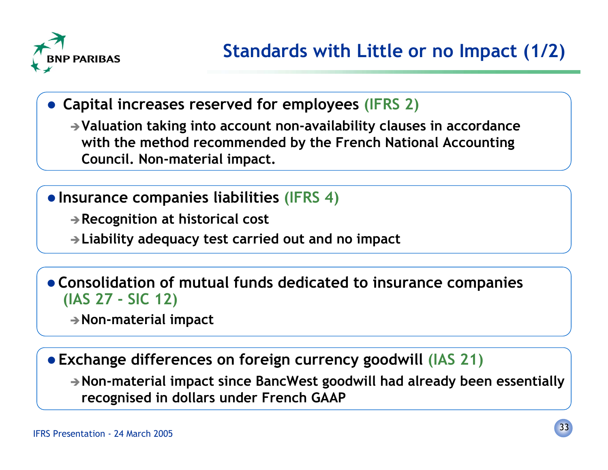

 **Capital increases reserved for employees (IFRS 2)**

**Valuation taking into account non-availability clauses in accordance with the method recommended by the French National Accounting Council. Non-material impact.**

**Insurance companies liabilities (IFRS 4)**

**Recognition at historical cost**

**Liability adequacy test carried out and no impact**

 **Consolidation of mutual funds dedicated to insurance companies (IAS 27 - SIC 12)**

**Non-material impact**

**Exchange differences on foreign currency goodwill (IAS 21)**

**Non-material impact since BancWest goodwill had already been essentially recognised in dollars under French GAAP**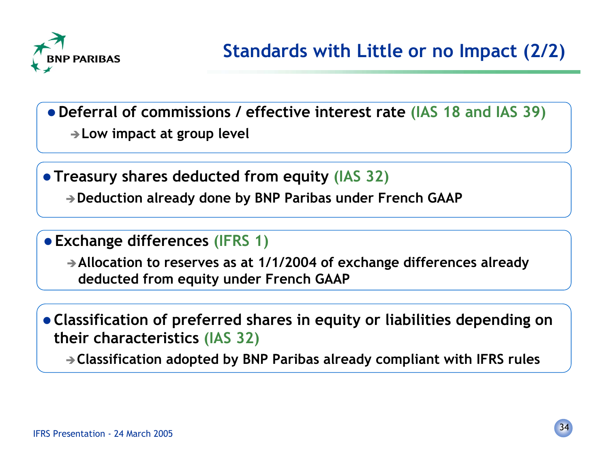

**Deferral of commissions / effective interest rate (IAS 18 and IAS 39)**

**Low impact at group level**

 **Treasury shares deducted from equity (IAS 32) Deduction already done by BNP Paribas under French GAAP**

**Exchange differences (IFRS 1)**

**Allocation to reserves as at 1/1/2004 of exchange differences already deducted from equity under French GAAP**

 **Classification of preferred shares in equity or liabilities depending on their characteristics (IAS 32)**

**Classification adopted by BNP Paribas already compliant with IFRS rules**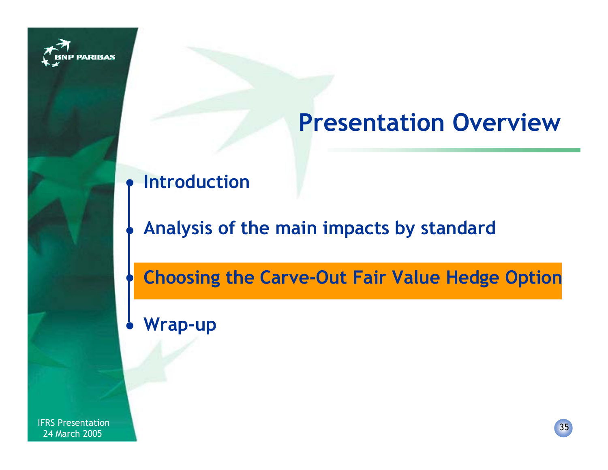

# **Presentation Overview**

#### $\bullet$ **Introduction**

### **Analysis of the main impacts by standard**

**Choosing the Carve-Out Fair Value Hedge Option**  $\bullet$ 

**Wrap-up**  $\bullet$ 

 $\bullet$ 

IFRS Presentation 2005<br>1994 March 2005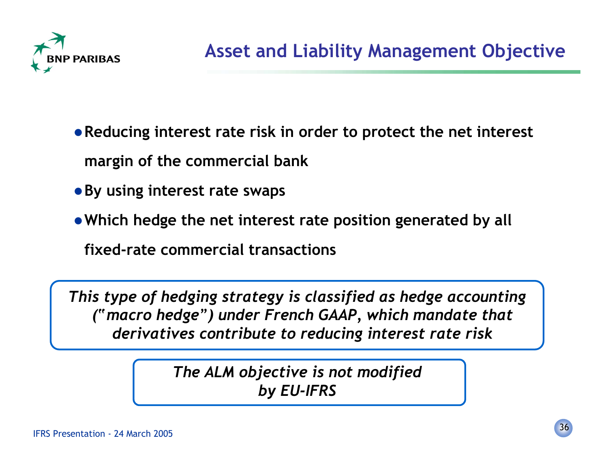

**Reducing interest rate risk in order to protect the net interest margin of the commercial bank**

- **By using interest rate swaps**
- **Which hedge the net interest rate position generated by all**

**fixed-rate commercial transactions**

*This type of hedging strategy is classified as hedge accounting ("macro hedge") under French GAAP, which mandate that derivatives contribute to reducing interest rate risk*

> *The ALM objective is not modified by EU-IFRS*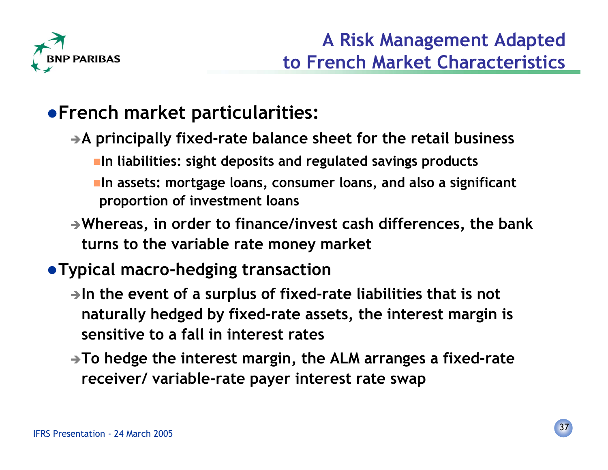

## **French market particularities:**

- -**A principally fixed-rate balance sheet for the retail business In liabilities: sight deposits and regulated savings products In assets: mortgage loans, consumer loans, and also a significant proportion of investment loans**
- -**Whereas, in order to finance/invest cash differences, the bank turns to the variable rate money market**

#### **Typical macro-hedging transaction**

- -**In the event of a surplus of fixed-rate liabilities that is not naturally hedged by fixed-rate assets, the interest margin is sensitive to a fall in interest rates**
- -**To hedge the interest margin, the ALM arranges a fixed-rate receiver/ variable-rate payer interest rate swap**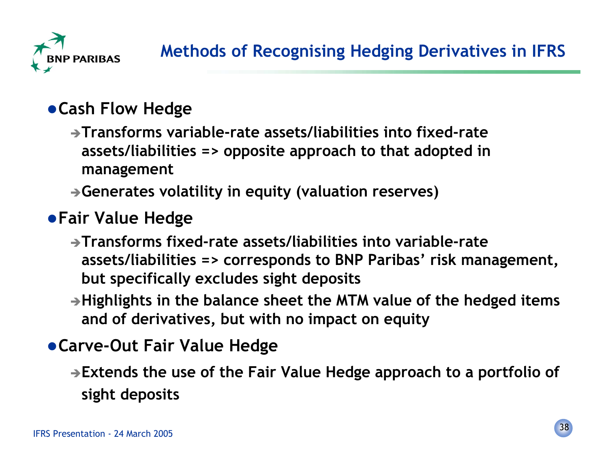

#### **Cash Flow Hedge**

-**Transforms variable-rate assets/liabilities into fixed-rateassets/liabilities => opposite approach to that adopted in management**

-**Generates volatility in equity (valuation reserves)**

#### **Fair Value Hedge**

- -**Transforms fixed-rate assets/liabilities into variable-rateassets/liabilities => corresponds to BNP Paribas' risk management, but specifically excludes sight deposits**
- -**Highlights in the balance sheet the MTM value of the hedged items and of derivatives, but with no impact on equity**

#### **Carve-Out Fair Value Hedge**

-**Extends the use of the Fair Value Hedge approach to a portfolio of sight deposits**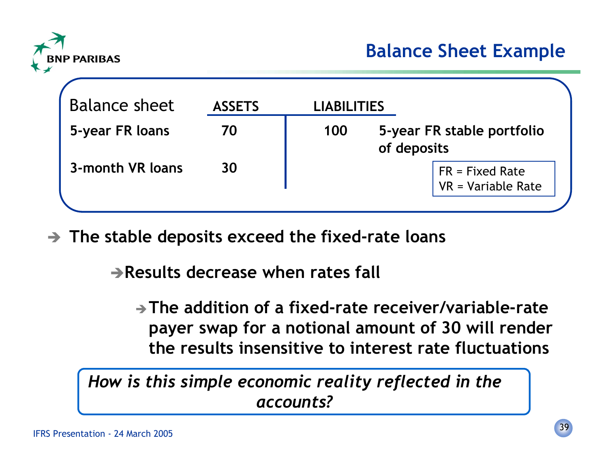

| <b>Balance sheet</b> | <b>ASSETS</b> | <b>LIABILITIES</b> |                                                 |
|----------------------|---------------|--------------------|-------------------------------------------------|
| 5-year FR loans      | 70            | 100                | 5-year FR stable portfolio<br>of deposits       |
| 3-month VR loans     | 30            |                    | $FR = Fixed Rate$<br>$\sqrt{R}$ = Variable Rate |

- **The stable deposits exceed the fixed-rate loans**

-**Results decrease when rates fall**

**The addition of a fixed-rate receiver/variable-ratepayer swap for a notional amount of 30 will render the results insensitive to interest rate fluctuations**

*How is this simple economic reality reflected in the accounts?*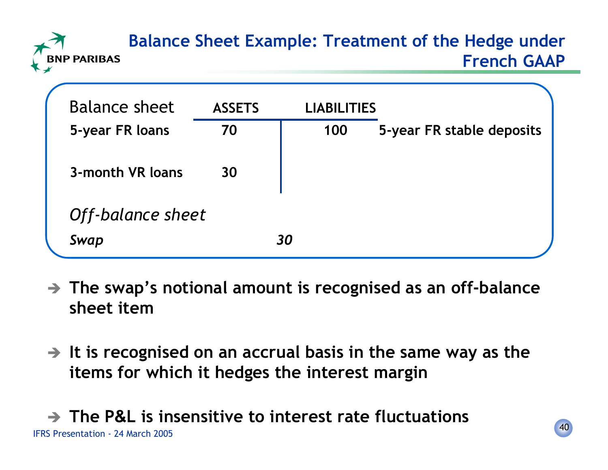## **Balance Sheet Example: Treatment of the Hedge under French GAAP**

| <b>Balance sheet</b> | <b>ASSETS</b> |    | <b>LIABILITIES</b> |                           |
|----------------------|---------------|----|--------------------|---------------------------|
| 5-year FR loans      | 70            |    | 100                | 5-year FR stable deposits |
| 3-month VR loans     | 30            |    |                    |                           |
|                      |               |    |                    |                           |
| Off-balance sheet    |               |    |                    |                           |
| Swap                 |               | 30 |                    |                           |
|                      |               |    |                    |                           |

- **The swap's notional amount is recognised as an off-balance sheet item**
- **It is recognised on an accrual basis in the same way as the items for which it hedges the interest margin**

#### IFRS Presentation - 24 March 2005- **The P&L is insensitive to interest rate fluctuations**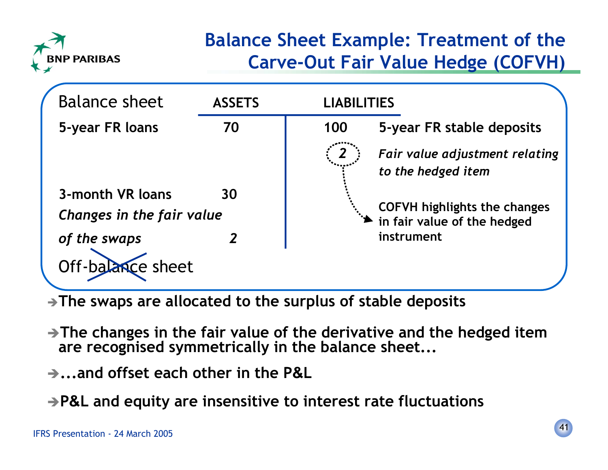

## **Balance Sheet Example: Treatment of the Carve-Out Fair Value Hedge (COFVH)**



-**The swaps are allocated to the surplus of stable deposits**

- -**The changes in the fair value of the derivative and the hedged item are recognised symmetrically in the balance sheet...**
- -**...and offset each other in the P&L**

-**P&L and equity are insensitive to interest rate fluctuations**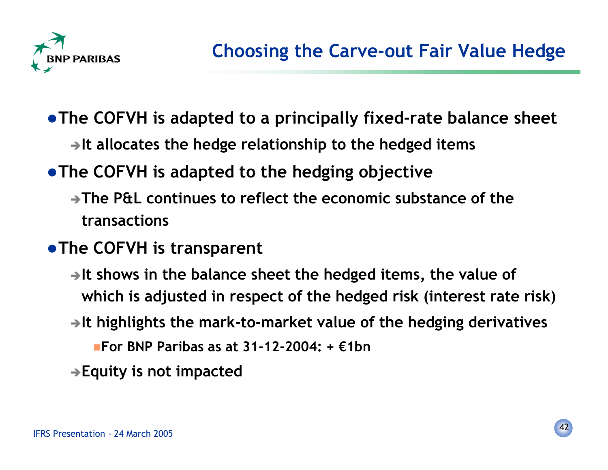

- **The COFVH is adapted to a principally fixed-rate balance sheet** -**It allocates the hedge relationship to the hedged items**
- **The COFVH is adapted to the hedging objective**
	- -**The P&L continues to reflect the economic substance of thetransactions**
- **The COFVH is transparent**
	- -**It shows in the balance sheet the hedged items, the value of which is adjusted in respect of the hedged risk (interest rate risk)**
	- -**It highlights the mark-to-market value of the hedging derivatives**
		- **For BNP Paribas as at 31-12-2004: + €1bn**
	- -**Equity is not impacted**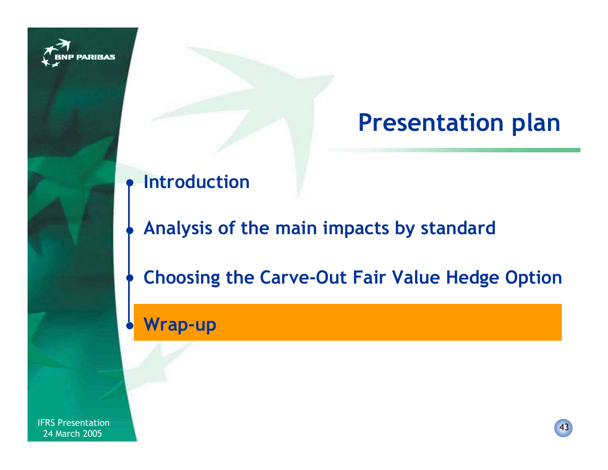

# **Presentation plan**

#### $\bullet$ **Introduction**

## **Analysis of the main impacts by standard**

**Choosing the Carve-Out Fair Value Hedge Option**  $\bullet$ 

**Wrap-up**  $\bullet$ 

 $\bullet$ 

IFRS Presentation New York 1988 of the Second Second Second Second Second Second Second Second Second Second Second Second Second Second Second Second Second Second Second Second Second Second Second Second Second Second S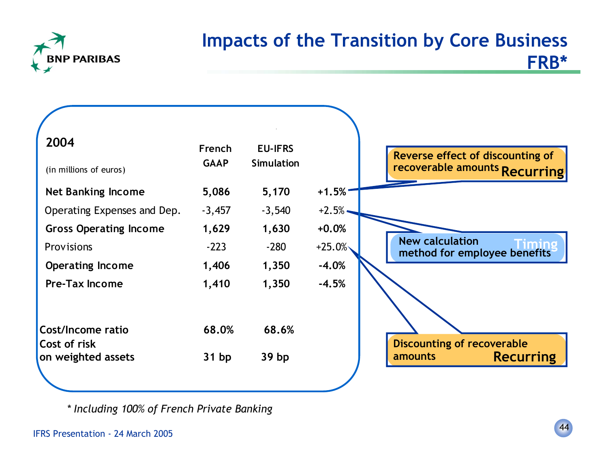

#### **Impacts of the Transition by Core Business FRB\***

| 2004<br>(in millions of euros) | French<br><b>GAAP</b> | <b>EU-IFRS</b><br><b>Simulation</b> |           |
|--------------------------------|-----------------------|-------------------------------------|-----------|
| <b>Net Banking Income</b>      | 5,086                 | 5,170                               | $+1.5%$   |
| Operating Expenses and Dep.    | $-3,457$              | $-3,540$                            | $+2.5%$   |
| <b>Gross Operating Income</b>  | 1,629                 | 1,630                               | $+0.0%$   |
| Provisions                     | $-223$                | $-280$                              | $+25.0\%$ |
| <b>Operating Income</b>        | 1,406                 | 1,350                               | $-4.0%$   |
| <b>Pre-Tax Income</b>          | 1,410                 | 1,350                               | $-4.5%$   |
|                                |                       |                                     |           |
| Cost/Income ratio              | 68.0%                 | 68.6%                               |           |
| Cost of risk                   |                       |                                     |           |
| on weighted assets             | 31bp                  | 39 <sub>bp</sub>                    |           |
|                                |                       |                                     |           |

*\* Including 100% of French Private Banking*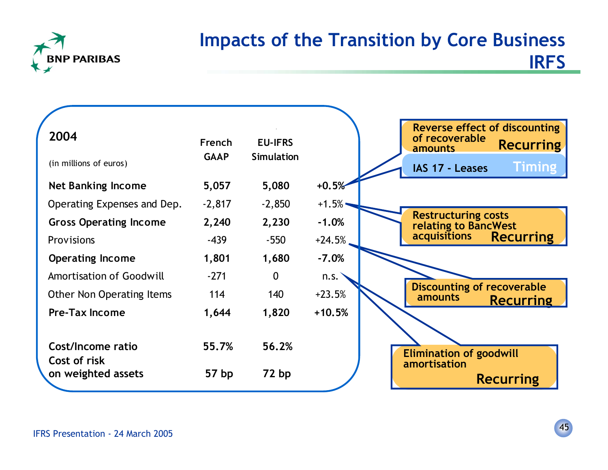

#### **Impacts of the Transition by Core Business IRFS**

| 2004                              | French           | <b>EU-IFRS</b>    |          | Reverse effect of discounting<br>of recoverable<br>amounts |
|-----------------------------------|------------------|-------------------|----------|------------------------------------------------------------|
| (in millions of euros)            | <b>GAAP</b>      | <b>Simulation</b> |          | IAS 17 - Leases                                            |
| <b>Net Banking Income</b>         | 5,057            | 5,080             | $+0.5%$  |                                                            |
| Operating Expenses and Dep.       | $-2,817$         | $-2,850$          | $+1.5%$  |                                                            |
| <b>Gross Operating Income</b>     | 2,240            | 2,230             | $-1.0%$  | <b>Restructuring costs</b><br>relating to BancWest         |
| <b>Provisions</b>                 | $-439$           | $-550$            | $+24.5%$ | <b>acquisitions</b>                                        |
| <b>Operating Income</b>           | 1,801            | 1,680             | $-7.0%$  |                                                            |
| <b>Amortisation of Goodwill</b>   | $-271$           | $\mathbf{0}$      | n.s.     |                                                            |
| <b>Other Non Operating Items</b>  | 114              | 140               | $+23.5%$ | <b>Discounting of recoverable</b><br>amounts               |
| <b>Pre-Tax Income</b>             | 1,644            | 1,820             | $+10.5%$ |                                                            |
|                                   |                  |                   |          |                                                            |
| Cost/Income ratio<br>Cost of risk | 55.7%            | 56.2%             |          | <b>Elimination of goodwill</b>                             |
| on weighted assets                | 57 <sub>bp</sub> | 72bp              |          | amortisation                                               |
|                                   |                  |                   |          | <b>Recurring</b>                                           |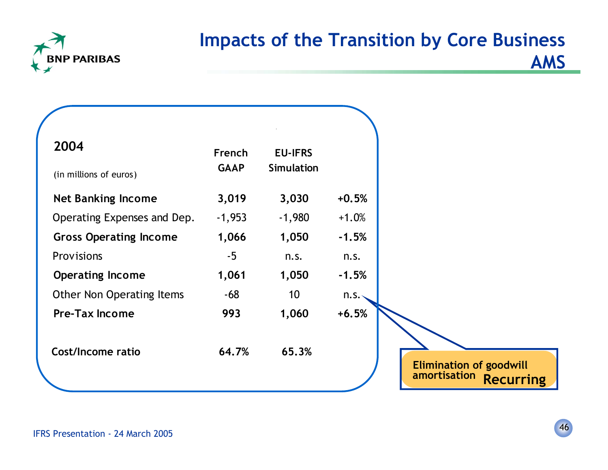

## **Impacts of the Transition by Core Business AMS**

| 2004                             | French      | <b>EU-IFRS</b>    |         |                                                                    |
|----------------------------------|-------------|-------------------|---------|--------------------------------------------------------------------|
| (in millions of euros)           | <b>GAAP</b> | <b>Simulation</b> |         |                                                                    |
| <b>Net Banking Income</b>        | 3,019       | 3,030             | $+0.5%$ |                                                                    |
| Operating Expenses and Dep.      | $-1,953$    | $-1,980$          | $+1.0%$ |                                                                    |
| <b>Gross Operating Income</b>    | 1,066       | 1,050             | $-1.5%$ |                                                                    |
| Provisions                       | $-5$        | n.s.              | n.s.    |                                                                    |
| <b>Operating Income</b>          | 1,061       | 1,050             | $-1.5%$ |                                                                    |
| <b>Other Non Operating Items</b> | -68         | 10 <sup>°</sup>   | n.s.    |                                                                    |
| <b>Pre-Tax Income</b>            | 993         | 1,060             | $+6.5%$ |                                                                    |
| <b>Cost/Income ratio</b>         | 64.7%       | 65.3%             |         |                                                                    |
|                                  |             |                   |         | <b>Elimination of goodwill</b><br>amortisation<br><b>Recurring</b> |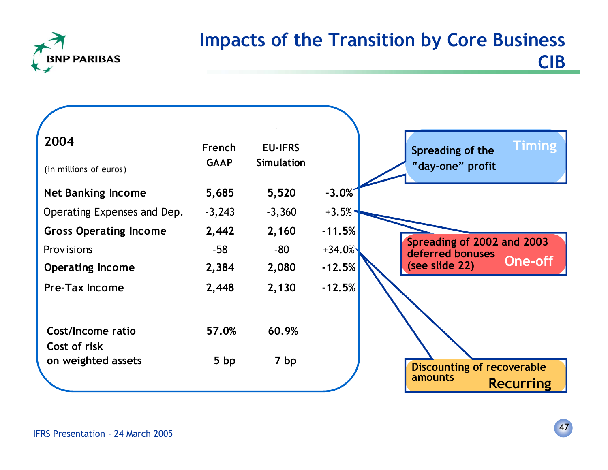

#### **Impacts of the Transition by Core Business CIB**

| 2004                              | French      | <b>EU-IFRS</b>    |          | <b>Timing</b><br>Spreading of the              |
|-----------------------------------|-------------|-------------------|----------|------------------------------------------------|
| (in millions of euros)            | <b>GAAP</b> | <b>Simulation</b> |          | "day-one" profit                               |
| <b>Net Banking Income</b>         | 5,685       | 5,520             | $-3.0%$  |                                                |
| Operating Expenses and Dep.       | $-3,243$    | $-3,360$          | $+3.5%$  |                                                |
| <b>Gross Operating Income</b>     | 2,442       | 2,160             | $-11.5%$ |                                                |
| <b>Provisions</b>                 | $-58$       | -80               | $+34.0%$ | Spreading of 2002 and 2003<br>deferred bonuses |
| <b>Operating Income</b>           | 2,384       | 2,080             | $-12.5%$ | <b>One-off</b><br>(see slide 22)               |
| <b>Pre-Tax Income</b>             | 2,448       | 2,130             | $-12.5%$ |                                                |
|                                   |             |                   |          |                                                |
| Cost/Income ratio<br>Cost of risk | 57.0%       | 60.9%             |          |                                                |
| on weighted assets                | 5bp         | 7 bp              |          | <b>Discounting of recoverable</b>              |
|                                   |             |                   |          | amounts<br><b>Recurring</b>                    |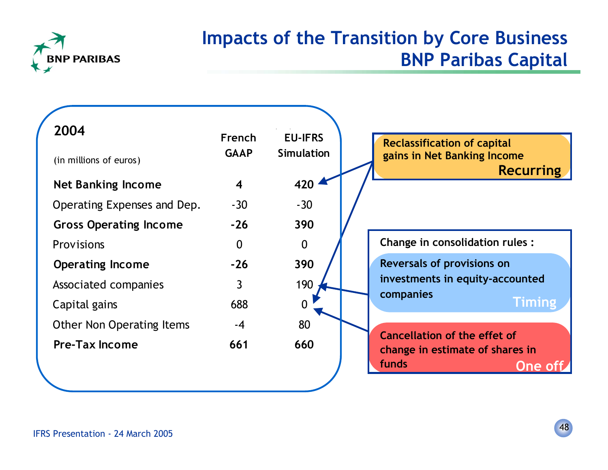

#### **Impacts of the Transition by Core Business BNP Paribas Capital**

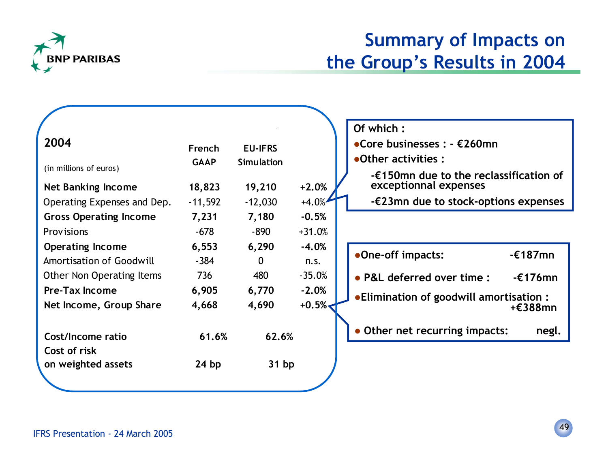

## **Summary of Impacts on the Group's Results in 2004**

|                                 |             |                |          | Of which:                                         |                   |
|---------------------------------|-------------|----------------|----------|---------------------------------------------------|-------------------|
| 2004                            | French      | <b>EU-IFRS</b> |          | • Core businesses : $ E260$ mn                    |                   |
|                                 | <b>GAAP</b> | Simulation     |          | •Other activities :                               |                   |
| (in millions of euros)          |             |                |          | - $\epsilon$ 150mn due to the reclassification of |                   |
| <b>Net Banking Income</b>       | 18,823      | 19,210         | $+2.0%$  | exceptionnal expenses                             |                   |
| Operating Expenses and Dep.     | $-11,592$   | $-12,030$      | $+4.0%$  | $-\epsilon$ 23mn due to stock-options expenses    |                   |
| <b>Gross Operating Income</b>   | 7,231       | 7,180          | $-0.5%$  |                                                   |                   |
| Provisions                      | $-678$      | $-890$         | $+31.0%$ |                                                   |                   |
| <b>Operating Income</b>         | 6,553       | 6,290          | $-4.0%$  |                                                   |                   |
| <b>Amortisation of Goodwill</b> | $-384$      | $\overline{0}$ | n.s.     | •One-off impacts:                                 | $-\epsilon$ 187mn |
| Other Non Operating Items       | 736         | 480            | $-35.0%$ | • P&L deferred over time :                        | $-£176$ mn        |
| <b>Pre-Tax Income</b>           | 6,905       | 6,770          | $-2.0%$  | • Elimination of goodwill amortisation:           |                   |
| Net Income, Group Share         | 4,668       | 4,690          | $+0.5%$  |                                                   | +€388mn           |
|                                 |             |                |          |                                                   |                   |
| Cost/Income ratio               | 61.6%       | 62.6%          |          | Other net recurring impacts:                      | negl.             |
| Cost of risk                    |             |                |          |                                                   |                   |
| on weighted assets              | 24bp        | 31bp           |          |                                                   |                   |
|                                 |             |                |          |                                                   |                   |
|                                 |             |                |          |                                                   |                   |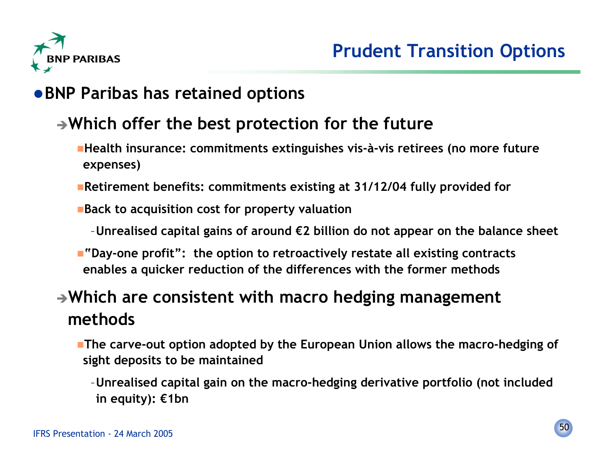

#### **BNP Paribas has retained options**

#### **Which offer the best protection for the future**

- **Health insurance: commitments extinguishes vis-à-vis retirees (no more future expenses)**
- **Retirement benefits: commitments existing at 31/12/04 fully provided for**
- **Back to acquisition cost for property valuation**
	- –**Unrealised capital gains of around €2 billion do not appear on the balance sheet**
- **"Day-one profit": the option to retroactively restate all existing contracts enables a quicker reduction of the differences with the former methods**

#### **Which are consistent with macro hedging management methods**

- **The carve-out option adopted by the European Union allows the macro-hedging of sight deposits to be maintained**
	- –**Unrealised capital gain on the macro-hedging derivative portfolio (not included in equity): €1bn**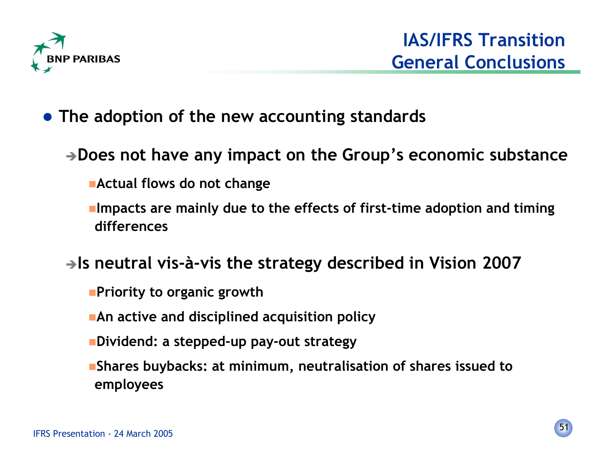

- **The adoption of the new accounting standards**
	- **Does not have any impact on the Group's economic substance**
		- **Actual flows do not change**
		- **Impacts are mainly due to the effects of first-time adoption and timing differences**
	- **Is neutral vis-à-vis the strategy described in Vision 2007**
		- **Priority to organic growth**
		- **An active and disciplined acquisition policy**
		- **Dividend: a stepped-up pay-out strategy**
		- **Shares buybacks: at minimum, neutralisation of shares issued to employees**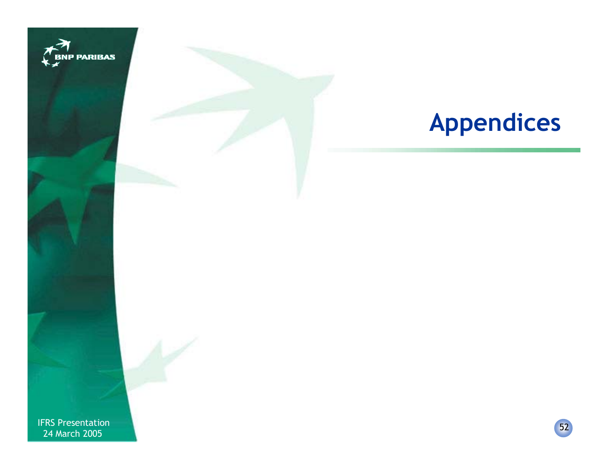

# **Appendices**

IFRS Presentation 2005<br>The March 2005 Contract of the Contract of the Contract of the Contract of the Contract of the Contract of the<br>The March 2005 Contract of the Contract of the Contract of the Contract of the Contract 24 March 2005

52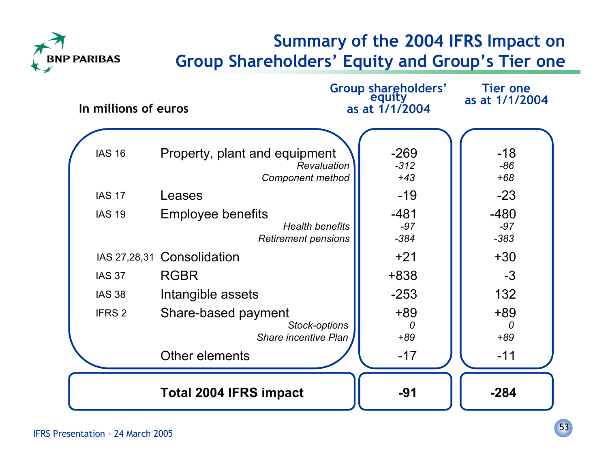

#### **Summary of the 2004 IFRS Impact on 2004 IFRS Group Shareholders' Equity and Group's Tier one**

| In millions of euros                                |                                                                                                                                                                       | Group shareholders'<br>equity<br>as at $1/1/2004$               | <b>Tier one</b><br>as at 1/1/2004                             |
|-----------------------------------------------------|-----------------------------------------------------------------------------------------------------------------------------------------------------------------------|-----------------------------------------------------------------|---------------------------------------------------------------|
| <b>IAS 16</b><br><b>IAS 17</b><br><b>IAS 19</b>     | Property, plant and equipment<br>Revaluation<br><b>Component method</b><br>Leases<br><b>Employee benefits</b><br><b>Health benefits</b><br><b>Retirement pensions</b> | $-269$<br>$-312$<br>$+43$<br>$-19$<br>$-481$<br>$-97$<br>$-384$ | $-18$<br>$-86$<br>$+68$<br>$-23$<br>$-480$<br>$-97$<br>$-383$ |
| <b>IAS 37</b><br><b>IAS 38</b><br>IFRS <sub>2</sub> | IAS 27,28,31 Consolidation<br><b>RGBR</b><br>Intangible assets<br>Share-based payment<br>Stock-options<br><b>Share incentive Plan</b><br>Other elements               | $+21$<br>+838<br>$-253$<br>$+89$<br>0<br>$+89$<br>$-17$         | $+30$<br>$-3$<br>132<br>$+89$<br>0<br>$+89$<br>$-11$          |
|                                                     | <b>Total 2004 IFRS impact</b>                                                                                                                                         | $-91$                                                           | $-284$                                                        |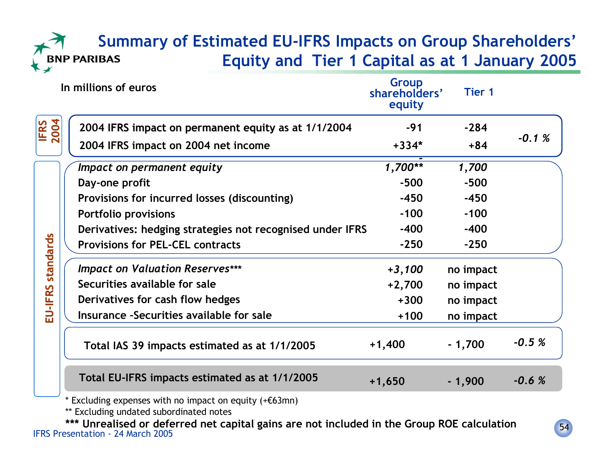#### **Summary of Estimated EU-IFRS Impacts on Group Shareholders' Equity and Tier 1 Capital as at 1 January 2005 PARIBAS**

|                     | In millions of euros                                      | Group<br>shareholders'<br>equity | <b>Tier 1</b> |         |
|---------------------|-----------------------------------------------------------|----------------------------------|---------------|---------|
| 2004<br><b>IFRS</b> | 2004 IFRS impact on permanent equity as at 1/1/2004       | $-91$                            | $-284$        |         |
|                     | 2004 IFRS impact on 2004 net income                       | $+334*$                          | $+84$         | $-0.1%$ |
|                     | Impact on permanent equity                                | $1,700**$                        | 1,700         |         |
|                     | Day-one profit                                            | $-500$                           | $-500$        |         |
|                     | Provisions for incurred losses (discounting)              | $-450$                           | $-450$        |         |
| standards           | <b>Portfolio provisions</b>                               | $-100$                           | $-100$        |         |
|                     | Derivatives: hedging strategies not recognised under IFRS | $-400$                           | $-400$        |         |
|                     | <b>Provisions for PEL-CEL contracts</b>                   | $-250$                           | $-250$        |         |
|                     | <b>Impact on Valuation Reserves***</b>                    | $+3,100$                         | no impact     |         |
|                     | Securities available for sale                             | $+2,700$                         | no impact     |         |
| EU-IFRS             | Derivatives for cash flow hedges                          | $+300$                           | no impact     |         |
|                     | Insurance -Securities available for sale                  | $+100$                           | no impact     |         |
|                     | Total IAS 39 impacts estimated as at 1/1/2005             | $+1,400$                         | $-1,700$      | $-0.5%$ |
|                     | Total EU-IFRS impacts estimated as at 1/1/2005            | $+1,650$                         | $-1,900$      | $-0.6%$ |

\* Excluding expenses with no impact on equity (+€63mn)

\*\* Excluding undated subordinated notes

 IFRS Presentation - 24 March 2005**\*\*\* Unrealised or deferred net capital gains are not included in the Group ROE calculation**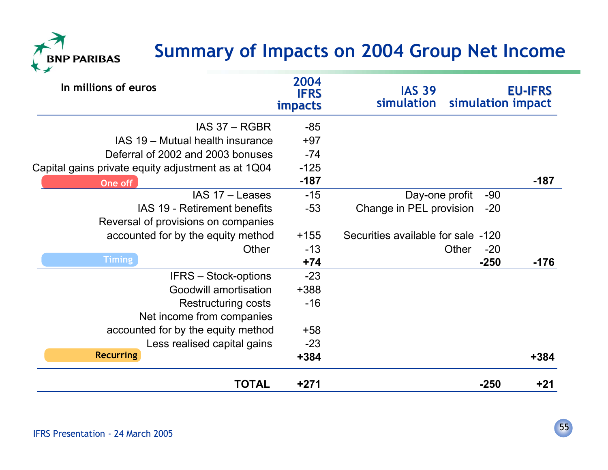## **Summary of Impacts on 2004 Group Net Income**



| In millions of euros                               | 2004<br><b>IFRS</b><br><b>impacts</b> | <b>IAS 39</b><br>simulation<br>simulation impact | <b>EU-IFRS</b> |
|----------------------------------------------------|---------------------------------------|--------------------------------------------------|----------------|
| IAS 37 - RGBR                                      | $-85$                                 |                                                  |                |
| IAS 19 - Mutual health insurance                   | $+97$                                 |                                                  |                |
| Deferral of 2002 and 2003 bonuses                  | $-74$                                 |                                                  |                |
| Capital gains private equity adjustment as at 1Q04 | $-125$                                |                                                  |                |
| One off                                            | $-187$                                |                                                  | $-187$         |
| IAS 17 - Leases                                    | $-15$                                 | Day-one profit<br>$-90$                          |                |
| IAS 19 - Retirement benefits                       | $-53$                                 | Change in PEL provision<br>$-20$                 |                |
| Reversal of provisions on companies                |                                       |                                                  |                |
| accounted for by the equity method                 | $+155$                                | Securities available for sale -120               |                |
| Other                                              | $-13$                                 | Other<br>$-20$                                   |                |
| <b>Timing</b>                                      | $+74$                                 | $-250$                                           | $-176$         |
| <b>IFRS - Stock-options</b>                        | $-23$                                 |                                                  |                |
| Goodwill amortisation                              | +388                                  |                                                  |                |
| <b>Restructuring costs</b>                         | $-16$                                 |                                                  |                |
| Net income from companies                          |                                       |                                                  |                |
| accounted for by the equity method                 | $+58$                                 |                                                  |                |
| Less realised capital gains                        | $-23$                                 |                                                  |                |
| <b>Recurring</b>                                   | $+384$                                |                                                  | $+384$         |
| <b>TOTAL</b>                                       | $+271$                                | $-250$                                           | $+21$          |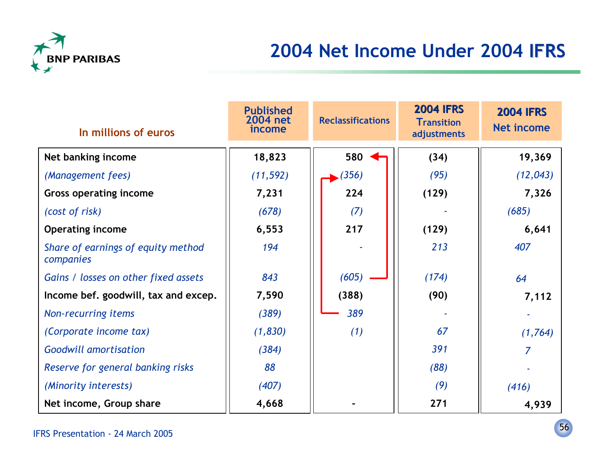

## **2004 Net Income Under 2004 IFRS**

| In millions of euros                            | <b>Published</b><br>2004 net<br>income | <b>Reclassifications</b> | <b>2004 IFRS</b><br><b>Transition</b><br>adjustments | <b>2004 IFRS</b><br><b>Net income</b> |
|-------------------------------------------------|----------------------------------------|--------------------------|------------------------------------------------------|---------------------------------------|
| Net banking income                              | 18,823                                 | 580                      | (34)                                                 | 19,369                                |
| (Management fees)                               | (11, 592)                              | (356)                    | (95)                                                 | (12, 043)                             |
| <b>Gross operating income</b>                   | 7,231                                  | 224                      | (129)                                                | 7,326                                 |
| (cost of risk)                                  | (678)                                  | (7)                      |                                                      | (685)                                 |
| <b>Operating income</b>                         | 6,553                                  | 217                      | (129)                                                | 6,641                                 |
| Share of earnings of equity method<br>companies | 194                                    |                          | 213                                                  | 407                                   |
| Gains / losses on other fixed assets            | 843                                    | (605)                    | (174)                                                | 64                                    |
| Income bef. goodwill, tax and excep.            | 7,590                                  | (388)                    | (90)                                                 | 7,112                                 |
| Non-recurring items                             | (389)                                  | 389                      |                                                      |                                       |
| (Corporate income tax)                          | (1,830)                                | (1)                      | 67                                                   | (1,764)                               |
| <b>Goodwill amortisation</b>                    | (384)                                  |                          | 391                                                  |                                       |
| Reserve for general banking risks               | 88                                     |                          | (88)                                                 |                                       |
| (Minority interests)                            | (407)                                  |                          | (9)                                                  | (416)                                 |
| Net income, Group share                         | 4,668                                  |                          | 271                                                  | 4,939                                 |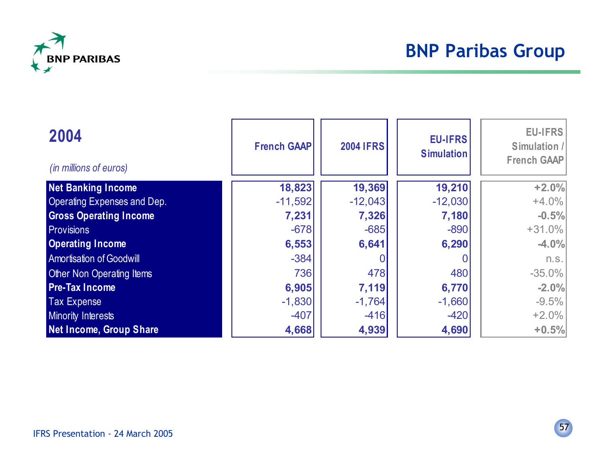

## **BNP Paribas Group**

| 2004<br>(in millions of euros)  | <b>French GAAP</b> | <b>2004 IFRS</b> | <b>EU-IFRS</b><br><b>Simulation</b> | <b>EU-IFRS</b><br>Simulation /<br><b>French GAAP</b> |
|---------------------------------|--------------------|------------------|-------------------------------------|------------------------------------------------------|
| <b>Net Banking Income</b>       | 18,823             | 19,369           | 19,210                              | $+2.0%$                                              |
| Operating Expenses and Dep.     | $-11,592$          | $-12,043$        | $-12,030$                           | $+4.0%$                                              |
| <b>Gross Operating Income</b>   | 7,231              | 7,326            | 7,180                               | $-0.5%$                                              |
| <b>Provisions</b>               | $-678$             | $-685$           | $-890$                              | $+31.0%$                                             |
| <b>Operating Income</b>         | 6,553              | 6,641            | 6,290                               | $-4.0%$                                              |
| <b>Amortisation of Goodwill</b> | $-384$             |                  |                                     | n.s.                                                 |
| Other Non Operating Items       | 736                | 478              | 480                                 | $-35.0\%$                                            |
| <b>Pre-Tax Income</b>           | 6,905              | 7,119            | 6,770                               | $-2.0%$                                              |
| <b>Tax Expense</b>              | $-1,830$           | $-1,764$         | $-1,660$                            | $-9.5%$                                              |
| <b>Minority Interests</b>       | $-407$             | $-416$           | $-420$                              | $+2.0%$                                              |
| Net Income, Group Share         | 4,668              | 4,939            | 4,690                               | $+0.5%$                                              |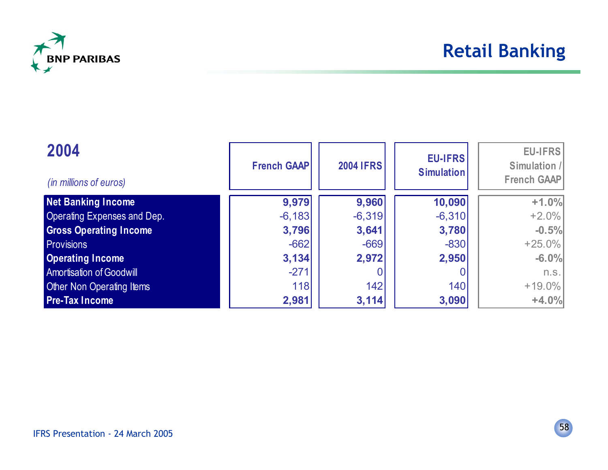

#### **Retail Banking**

| 2004<br>(in millions of euros)  | <b>French GAAP</b> | <b>2004 IFRS</b> | <b>EU-IFRS</b><br><b>Simulation</b> | <b>EU-IFRS</b><br>Simulation /<br><b>French GAAP</b> |
|---------------------------------|--------------------|------------------|-------------------------------------|------------------------------------------------------|
| <b>Net Banking Income</b>       | 9,979              | 9,960            | 10,090                              | $+1.0%$                                              |
| Operating Expenses and Dep.     | $-6,183$           | $-6,319$         | $-6,310$                            | $+2.0%$                                              |
| <b>Gross Operating Income</b>   | 3,796              | 3,641            | 3,780                               | $-0.5%$                                              |
| <b>Provisions</b>               | $-662$             | $-669$           | $-830$                              | $+25.0%$                                             |
| <b>Operating Income</b>         | 3,134              | 2,972            | 2,950                               | $-6.0%$                                              |
| <b>Amortisation of Goodwill</b> | $-271$             |                  |                                     | n.S.                                                 |
| Other Non Operating Items       | 118                | 142              | 140                                 | $+19.0%$                                             |
| <b>Pre-Tax Income</b>           | 2,981              | 3,114            | 3,090                               | $+4.0%$                                              |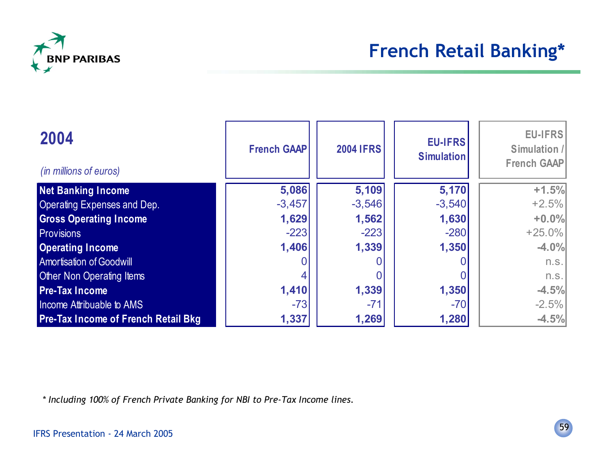

| 2004<br>(in millions of euros)             | <b>French GAAP</b> | <b>2004 IFRS</b> | <b>EU-IFRS</b><br><b>Simulation</b> | EU-IFRS<br>Simulation /<br>French GAAP |
|--------------------------------------------|--------------------|------------------|-------------------------------------|----------------------------------------|
| <b>Net Banking Income</b>                  | 5,086              | 5,109            | 5,170                               | $+1.5%$                                |
| <b>Operating Expenses and Dep.</b>         | $-3,457$           | $-3,546$         | $-3,540$                            | $+2.5%$                                |
| <b>Gross Operating Income</b>              | 1,629              | 1,562            | 1,630                               | $+0.0%$                                |
| <b>Provisions</b>                          | $-223$             | $-223$           | $-280$                              | $+25.0\%$                              |
| <b>Operating Income</b>                    | 1,406              | 1,339            | 1,350                               | $-4.0%$                                |
| <b>Amortisation of Goodwill</b>            |                    |                  |                                     | n.s.                                   |
| <b>Other Non Operating Items</b>           |                    |                  |                                     | n.s.                                   |
| <b>Pre-Tax Income</b>                      | 1,410              | 1,339            | 1,350                               | $-4.5%$                                |
| Income Attribuable to AMS                  | $-73$              | $-71$            | $-70$                               | $-2.5%$                                |
| <b>Pre-Tax Income of French Retail Bkg</b> | 1,337              | 1,269            | 1,280                               | $-4.5%$                                |

*\* Including 100% of French Private Banking for NBI to Pre-Tax Income lines.*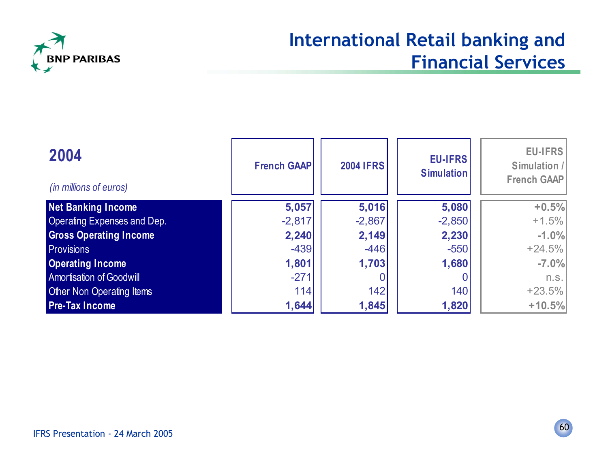

#### **International Retail banking and Financial Services**

| 2004<br>(in millions of euros)     | <b>French GAAP</b> | <b>2004 IFRS</b> | <b>EU-IFRS</b><br><b>Simulation</b> | EU-IFRS<br>Simulation /<br>French GAAP |
|------------------------------------|--------------------|------------------|-------------------------------------|----------------------------------------|
| <b>Net Banking Income</b>          | 5,057              | 5,016            | 5,080                               | $+0.5%$                                |
| <b>Operating Expenses and Dep.</b> | $-2,817$           | $-2,867$         | $-2,850$                            | $+1.5%$                                |
| <b>Gross Operating Income</b>      | 2,240              | 2,149            | 2,230                               | $-1.0%$                                |
| <b>Provisions</b>                  | $-439$             | $-446$           | $-550$                              | $+24.5%$                               |
| <b>Operating Income</b>            | 1,801              | 1,703            | 1,680                               | $-7.0%$                                |
| <b>Amortisation of Goodwill</b>    | $-271$             |                  |                                     | n.s.                                   |
| Other Non Operating Items          | 114                | 142              | 140                                 | $+23.5%$                               |
| <b>Pre-Tax Income</b>              | 1,644              | 1,845            | 1,820                               | $+10.5%$                               |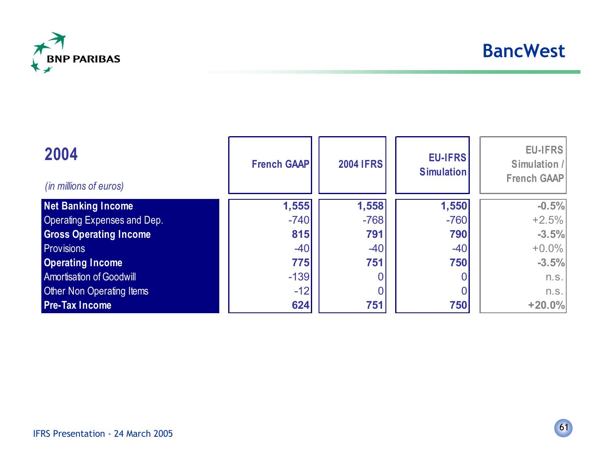

| 2004<br>(in millions of euros)     | <b>French GAAP</b> | <b>2004 IFRS</b> | <b>EU-IFRS</b><br><b>Simulation</b> | EU-IFRS<br>Simulation /<br>French GAAP |
|------------------------------------|--------------------|------------------|-------------------------------------|----------------------------------------|
| Net Banking Income                 | 1,555              | 1,558            | 1,550                               | $-0.5%$                                |
| <b>Operating Expenses and Dep.</b> | $-740$             | $-768$           | $-760$                              | $+2.5%$                                |
| <b>Gross Operating Income</b>      | 815                | 791              | 790                                 | $-3.5%$                                |
| <b>Provisions</b>                  | $-40$              | $-40$            | $-40$                               | $+0.0\%$                               |
| <b>Operating Income</b>            | 775                | 751              | 750                                 | $-3.5%$                                |
| <b>Amortisation of Goodwill</b>    | $-139$             |                  |                                     | n.s.                                   |
| Other Non Operating Items          | $-12$              |                  |                                     | n.s.                                   |
| <b>Pre-Tax Income</b>              | 624                | 751              | 750                                 | $+20.0%$                               |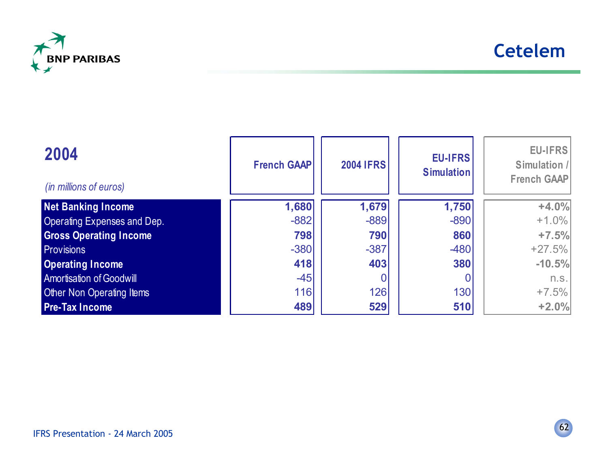

| 2004<br>(in millions of euros)  | <b>French GAAP</b> | <b>2004 IFRS</b> | <b>EU-IFRS</b><br><b>Simulation</b> | EU-IFRS<br>Simulation /<br>French GAAP |
|---------------------------------|--------------------|------------------|-------------------------------------|----------------------------------------|
| <b>Net Banking Income</b>       | 1,680              | 1,679            | 1,750                               | $+4.0%$                                |
| Operating Expenses and Dep.     | $-882$             | $-889$           | $-890$                              | $+1.0\%$                               |
| <b>Gross Operating Income</b>   | 798                | 790              | 860                                 | $+7.5%$                                |
| <b>Provisions</b>               | $-380$             | $-387$           | $-480$                              | $+27.5%$                               |
| <b>Operating Income</b>         | 418                | 403              | 380                                 | $-10.5%$                               |
| <b>Amortisation of Goodwill</b> | $-45$              |                  |                                     | n.s.                                   |
| Other Non Operating Items       | 116                | 126              | 130                                 | $+7.5%$                                |
| <b>Pre-Tax Income</b>           | 489                | 529              | 510                                 | $+2.0%$                                |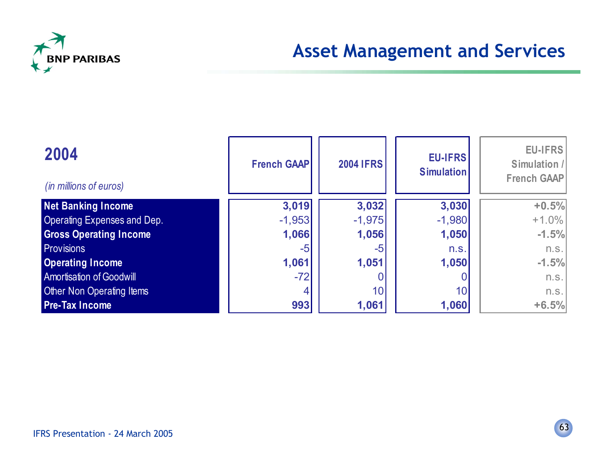

#### **Asset Management and Services**

| 2004<br>(in millions of euros)     | <b>French GAAP</b> | <b>2004 IFRS</b> | <b>EU-IFRS</b><br><b>Simulation</b> | EU-IFRS<br>Simulation /<br>French GAAP |
|------------------------------------|--------------------|------------------|-------------------------------------|----------------------------------------|
| <b>Net Banking Income</b>          | 3,019              | 3,032            | 3,030                               | $+0.5%$                                |
| <b>Operating Expenses and Dep.</b> | $-1,953$           | $-1,975$         | $-1,980$                            | $+1.0\%$                               |
| <b>Gross Operating Income</b>      | 1,066              | 1,056            | 1,050                               | $-1.5%$                                |
| <b>Provisions</b>                  | -5                 | $-5$             | n.s.                                | n.s.                                   |
| <b>Operating Income</b>            | 1,061              | 1,051            | 1,050                               | $-1.5%$                                |
| <b>Amortisation of Goodwill</b>    | $-72$              |                  |                                     | n.s.                                   |
| <b>Other Non Operating Items</b>   |                    | 10               | 10 <sup>1</sup>                     | n.s.                                   |
| <b>Pre-Tax Income</b>              | 993                | 1,061            | 1,060                               | $+6.5%$                                |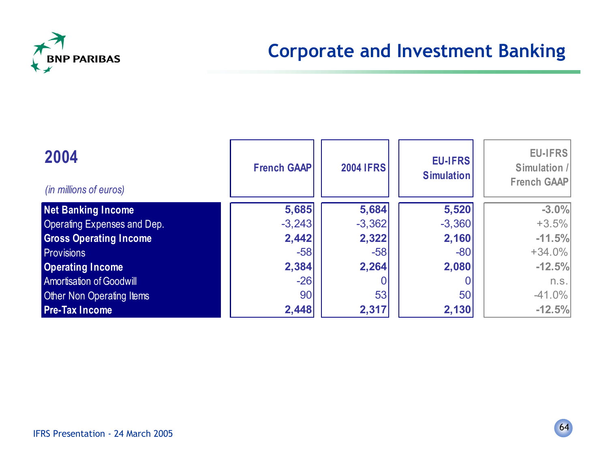

## **Corporate and Investment Banking**

| 2004<br>(in millions of euros)     | <b>French GAAP</b> | <b>2004 IFRS</b> | <b>EU-IFRS</b><br><b>Simulation</b> | EU-IFRS<br>Simulation /<br>French GAAP |
|------------------------------------|--------------------|------------------|-------------------------------------|----------------------------------------|
| <b>Net Banking Income</b>          | 5,685              | 5,684            | 5,520                               | $-3.0%$                                |
| <b>Operating Expenses and Dep.</b> | $-3,243$           | $-3,362$         | $-3,360$                            | $+3.5%$                                |
| <b>Gross Operating Income</b>      | 2,442              | 2,322            | 2,160                               | $-11.5%$                               |
| <b>Provisions</b>                  | $-58$              | $-58$            | $-80$                               | $+34.0\%$                              |
| <b>Operating Income</b>            | 2,384              | 2,264            | 2,080                               | $-12.5%$                               |
| <b>Amortisation of Goodwill</b>    | $-26$              |                  |                                     | n.s.                                   |
| <b>Other Non Operating Items</b>   | 90                 | 53               | 50                                  | $-41.0\%$                              |
| <b>Pre-Tax Income</b>              | 2,448              | 2,317            | 2,130                               | $-12.5%$                               |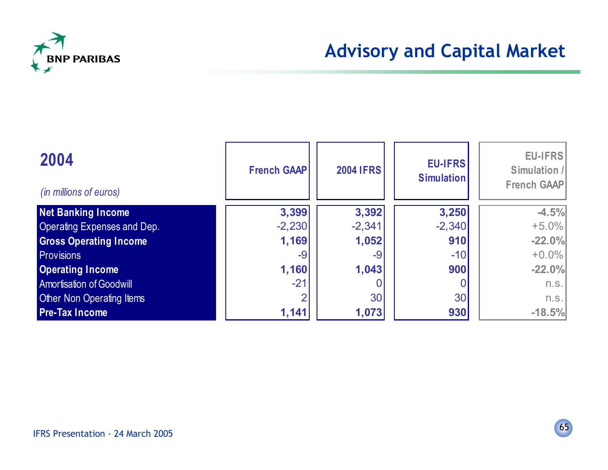

| 2004<br>(in millions of euros)     | <b>French GAAP</b> | <b>2004 IFRS</b> | <b>EU-IFRS</b><br><b>Simulation</b> | <b>EU-IFRS</b><br>Simulation /<br><b>French GAAP</b> |
|------------------------------------|--------------------|------------------|-------------------------------------|------------------------------------------------------|
| <b>Net Banking Income</b>          | 3,399              | 3,392            | 3,250                               | $-4.5%$                                              |
| <b>Operating Expenses and Dep.</b> | $-2,230$           | $-2,341$         | $-2,340$                            | $+5.0%$                                              |
| <b>Gross Operating Income</b>      | 1,169              | 1,052            | 910                                 | $-22.0%$                                             |
| <b>Provisions</b>                  | -9                 | -9               | $-10$                               | $+0.0%$                                              |
| <b>Operating Income</b>            | 1,160              | 1,043            | 900                                 | $-22.0%$                                             |
| <b>Amortisation of Goodwill</b>    | $-21$              |                  |                                     | n.s.                                                 |
| <b>Other Non Operating Items</b>   |                    | 30 <sup>1</sup>  | 30                                  | n.s.                                                 |
| <b>Pre-Tax Income</b>              | 1,141              | 1,073            | 930                                 | $-18.5%$                                             |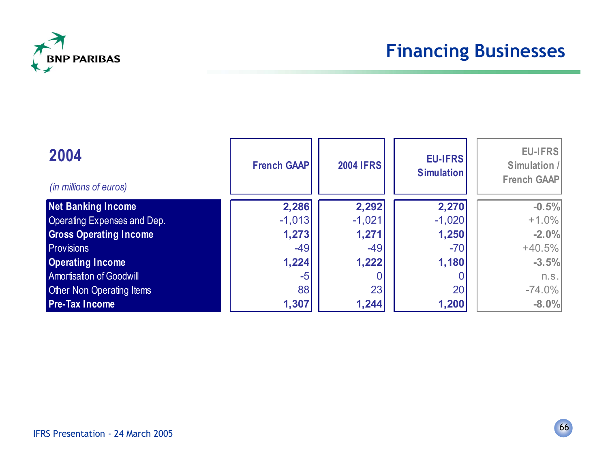

| 2004<br>(in millions of euros)  | <b>French GAAP</b> | <b>2004 IFRS</b> | <b>EU-IFRS</b><br><b>Simulation</b> | <b>EU-IFRS</b><br>Simulation /<br><b>French GAAP</b> |
|---------------------------------|--------------------|------------------|-------------------------------------|------------------------------------------------------|
| <b>Net Banking Income</b>       | 2,286              | 2,292            | 2,270                               | $-0.5%$                                              |
| Operating Expenses and Dep.     | $-1,013$           | $-1,021$         | $-1,020$                            | $+1.0%$                                              |
| <b>Gross Operating Income</b>   | 1,273              | 1,271            | 1,250                               | $-2.0%$                                              |
| <b>Provisions</b>               | $-49$              | $-49$            | $-70$                               | $+40.5%$                                             |
| <b>Operating Income</b>         | 1,224              | 1,222            | 1,180                               | $-3.5%$                                              |
| <b>Amortisation of Goodwill</b> | $-5$               |                  |                                     | n.s.                                                 |
| Other Non Operating Items       | 88                 | 23               | 20                                  | $-74.0\%$                                            |
| <b>Pre-Tax Income</b>           | 1,307              | 1,244            | 1,200                               | $-8.0%$                                              |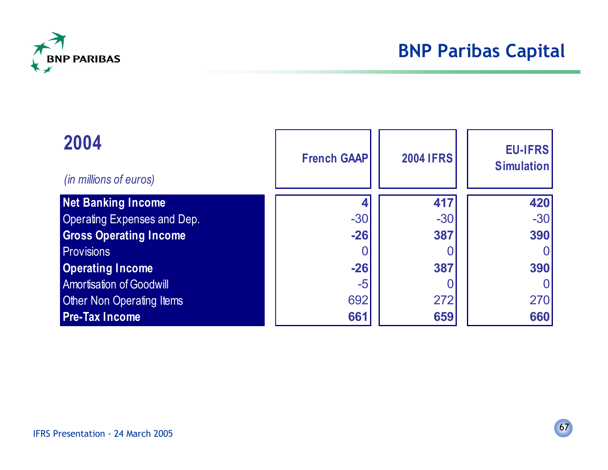

| 2004<br>(in millions of euros)     | <b>French GAAP</b> | <b>2004 IFRS</b> | <b>EU-IFRS</b><br><b>Simulation</b> |
|------------------------------------|--------------------|------------------|-------------------------------------|
| <b>Net Banking Income</b>          |                    | 417              | 420                                 |
| <b>Operating Expenses and Dep.</b> | $-30$              | $-30$            | $-30$                               |
| <b>Gross Operating Income</b>      | $-26$              | 387              | 390                                 |
| <b>Provisions</b>                  |                    |                  |                                     |
| <b>Operating Income</b>            | $-26$              | 387              | 390                                 |
| <b>Amortisation of Goodwill</b>    | $-5$               |                  |                                     |
| <b>Other Non Operating Items</b>   | 692                | 272              | 270                                 |
| <b>Pre-Tax Income</b>              | 661                | 659              | 660                                 |